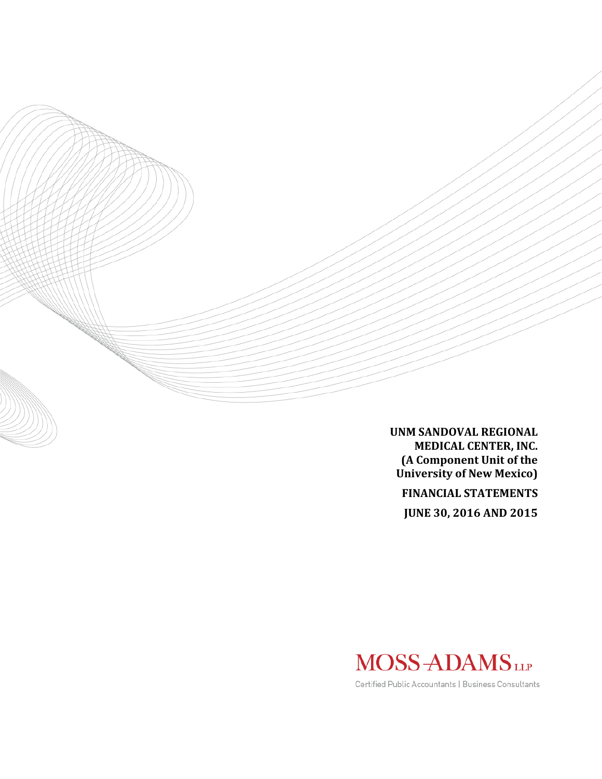

**UNM SANDOVAL REGIONAL MEDICAL CENTER, INC. (A Component Unit of the University of New Mexico)**

**FINANCIAL STATEMENTS**

**JUNE 30, 2016 AND 2015**



Certified Public Accountants | Business Consultants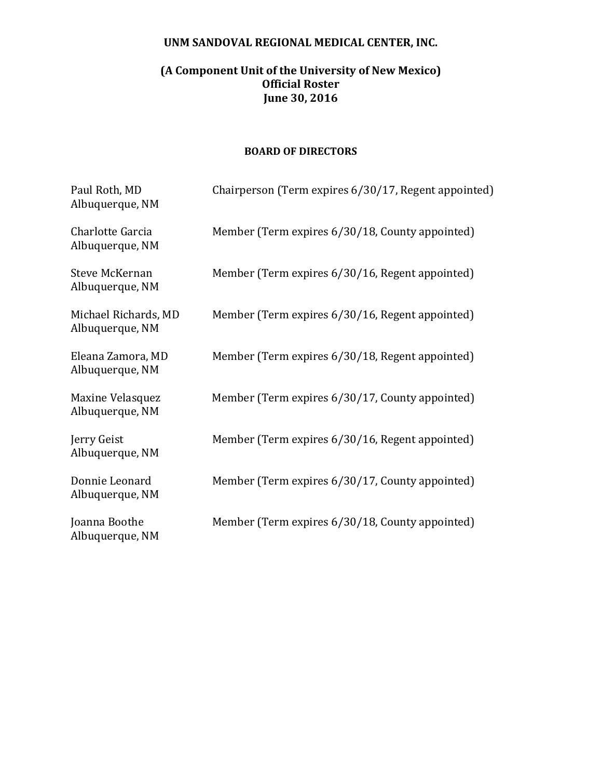## **UNM SANDOVAL REGIONAL MEDICAL CENTER, INC.**

### **(A Component Unit of the University of New Mexico) Official Roster June 30, 2016**

### **BOARD OF DIRECTORS**

| Paul Roth, MD<br>Albuquerque, NM        | Chairperson (Term expires 6/30/17, Regent appointed) |
|-----------------------------------------|------------------------------------------------------|
| Charlotte Garcia<br>Albuquerque, NM     | Member (Term expires 6/30/18, County appointed)      |
| Steve McKernan<br>Albuquerque, NM       | Member (Term expires 6/30/16, Regent appointed)      |
| Michael Richards, MD<br>Albuquerque, NM | Member (Term expires 6/30/16, Regent appointed)      |
| Eleana Zamora, MD<br>Albuquerque, NM    | Member (Term expires 6/30/18, Regent appointed)      |
| Maxine Velasquez<br>Albuquerque, NM     | Member (Term expires 6/30/17, County appointed)      |
| Jerry Geist<br>Albuquerque, NM          | Member (Term expires 6/30/16, Regent appointed)      |
| Donnie Leonard<br>Albuquerque, NM       | Member (Term expires 6/30/17, County appointed)      |
| Joanna Boothe<br>Albuquerque, NM        | Member (Term expires 6/30/18, County appointed)      |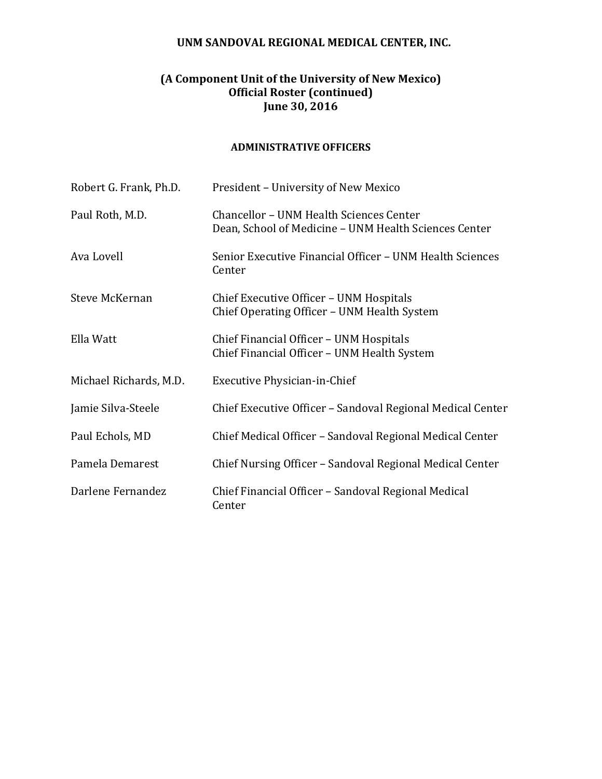### **UNM SANDOVAL REGIONAL MEDICAL CENTER, INC.**

## **(A Component Unit of the University of New Mexico) Official Roster (continued) June 30, 2016**

### **ADMINISTRATIVE OFFICERS**

| Robert G. Frank, Ph.D. | President - University of New Mexico                                                             |
|------------------------|--------------------------------------------------------------------------------------------------|
| Paul Roth, M.D.        | Chancellor - UNM Health Sciences Center<br>Dean, School of Medicine - UNM Health Sciences Center |
| Ava Lovell             | Senior Executive Financial Officer – UNM Health Sciences<br>Center                               |
| Steve McKernan         | Chief Executive Officer - UNM Hospitals<br>Chief Operating Officer - UNM Health System           |
| Ella Watt              | Chief Financial Officer - UNM Hospitals<br>Chief Financial Officer - UNM Health System           |
| Michael Richards, M.D. | Executive Physician-in-Chief                                                                     |
| Jamie Silva-Steele     | Chief Executive Officer – Sandoval Regional Medical Center                                       |
| Paul Echols, MD        | Chief Medical Officer - Sandoval Regional Medical Center                                         |
| Pamela Demarest        | Chief Nursing Officer – Sandoval Regional Medical Center                                         |
| Darlene Fernandez      | Chief Financial Officer - Sandoval Regional Medical<br>Center                                    |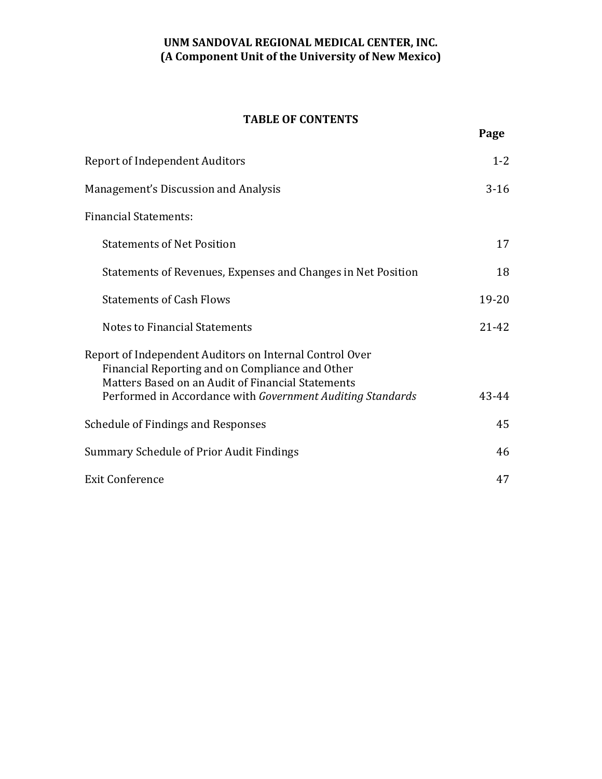## **UNM SANDOVAL REGIONAL MEDICAL CENTER, INC. (A Component Unit of the University of New Mexico)**

## **TABLE OF CONTENTS**

|                                                                                                                                                                 | Page      |
|-----------------------------------------------------------------------------------------------------------------------------------------------------------------|-----------|
| <b>Report of Independent Auditors</b>                                                                                                                           | $1 - 2$   |
| Management's Discussion and Analysis                                                                                                                            | $3-16$    |
| <b>Financial Statements:</b>                                                                                                                                    |           |
| <b>Statements of Net Position</b>                                                                                                                               | 17        |
| Statements of Revenues, Expenses and Changes in Net Position                                                                                                    | 18        |
| <b>Statements of Cash Flows</b>                                                                                                                                 | $19 - 20$ |
| Notes to Financial Statements                                                                                                                                   | $21 - 42$ |
| Report of Independent Auditors on Internal Control Over<br>Financial Reporting and on Compliance and Other<br>Matters Based on an Audit of Financial Statements |           |
| Performed in Accordance with Government Auditing Standards                                                                                                      | 43-44     |
| Schedule of Findings and Responses                                                                                                                              | 45        |
| Summary Schedule of Prior Audit Findings                                                                                                                        | 46        |
| Exit Conference                                                                                                                                                 | 47        |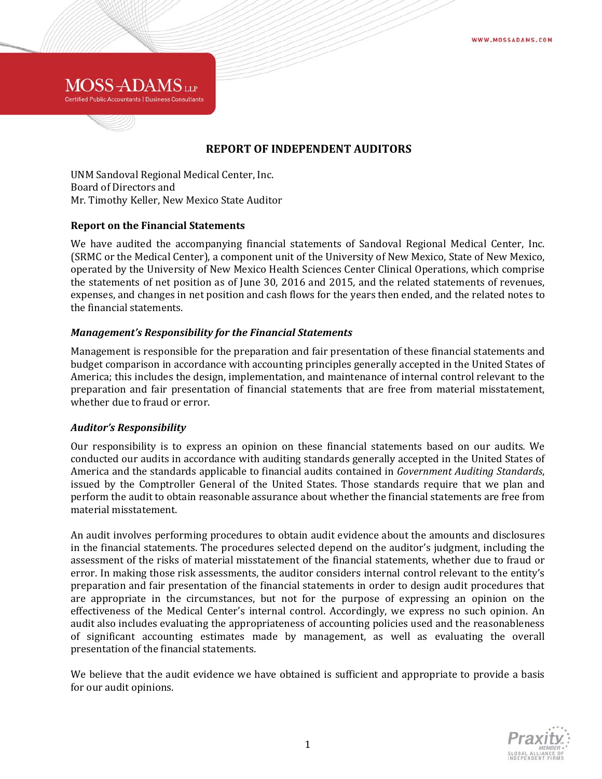# **REPORT OF INDEPENDENT AUDITORS**

UNM Sandoval Regional Medical Center, Inc. Board of Directors and Mr. Timothy Keller, New Mexico State Auditor

#### **Report on the Financial Statements**

MOSS-ADAMS<sub>LLP</sub> **Certified Public Accountants | Business Consultants** 

We have audited the accompanying financial statements of Sandoval Regional Medical Center, Inc. (SRMC or the Medical Center), a component unit of the University of New Mexico, State of New Mexico, operated by the University of New Mexico Health Sciences Center Clinical Operations, which comprise the statements of net position as of June 30, 2016 and 2015, and the related statements of revenues, expenses, and changes in net position and cash flows for the years then ended, and the related notes to the financial statements.

#### *Management's Responsibility for the Financial Statements*

Management is responsible for the preparation and fair presentation of these financial statements and budget comparison in accordance with accounting principles generally accepted in the United States of America; this includes the design, implementation, and maintenance of internal control relevant to the preparation and fair presentation of financial statements that are free from material misstatement, whether due to fraud or error.

#### *Auditor's Responsibility*

Our responsibility is to express an opinion on these financial statements based on our audits. We conducted our audits in accordance with auditing standards generally accepted in the United States of America and the standards applicable to financial audits contained in *Government Auditing Standards*, issued by the Comptroller General of the United States. Those standards require that we plan and perform the audit to obtain reasonable assurance about whether the financial statements are free from material misstatement. 

An audit involves performing procedures to obtain audit evidence about the amounts and disclosures in the financial statements. The procedures selected depend on the auditor's judgment, including the assessment of the risks of material misstatement of the financial statements, whether due to fraud or error. In making those risk assessments, the auditor considers internal control relevant to the entity's preparation and fair presentation of the financial statements in order to design audit procedures that are appropriate in the circumstances, but not for the purpose of expressing an opinion on the effectiveness of the Medical Center's internal control. Accordingly, we express no such opinion. An audit also includes evaluating the appropriateness of accounting policies used and the reasonableness of significant accounting estimates made by management, as well as evaluating the overall presentation of the financial statements.

We believe that the audit evidence we have obtained is sufficient and appropriate to provide a basis for our audit opinions.

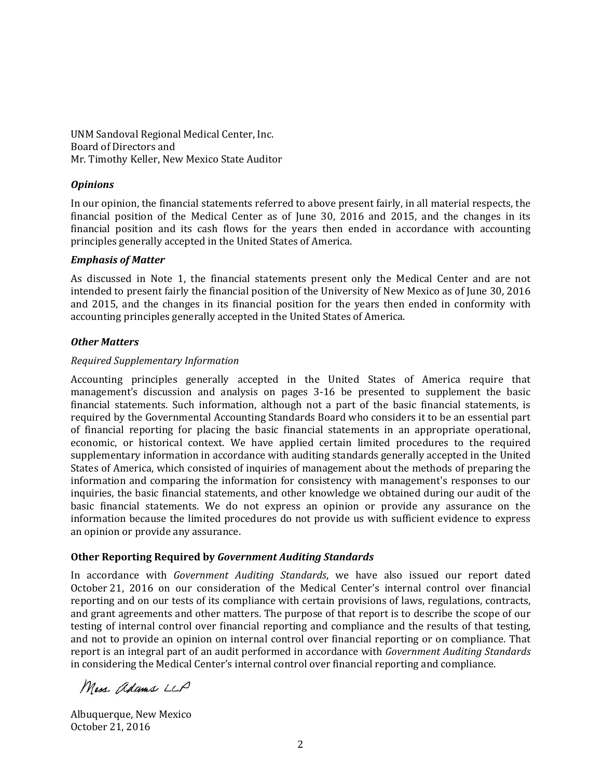UNM Sandoval Regional Medical Center, Inc. Board of Directors and Mr. Timothy Keller, New Mexico State Auditor

### *Opinions*

In our opinion, the financial statements referred to above present fairly, in all material respects, the financial position of the Medical Center as of June 30, 2016 and 2015, and the changes in its financial position and its cash flows for the years then ended in accordance with accounting principles generally accepted in the United States of America.

#### *Emphasis of Matter*

As discussed in Note 1, the financial statements present only the Medical Center and are not intended to present fairly the financial position of the University of New Mexico as of June 30, 2016 and 2015, and the changes in its financial position for the years then ended in conformity with accounting principles generally accepted in the United States of America.

#### *Other Matters*

#### *Required Supplementary Information*

Accounting principles generally accepted in the United States of America require that management's discussion and analysis on pages 3-16 be presented to supplement the basic financial statements. Such information, although not a part of the basic financial statements, is required by the Governmental Accounting Standards Board who considers it to be an essential part of financial reporting for placing the basic financial statements in an appropriate operational, economic, or historical context. We have applied certain limited procedures to the required supplementary information in accordance with auditing standards generally accepted in the United States of America, which consisted of inquiries of management about the methods of preparing the information and comparing the information for consistency with management's responses to our inquiries, the basic financial statements, and other knowledge we obtained during our audit of the basic financial statements. We do not express an opinion or provide any assurance on the information because the limited procedures do not provide us with sufficient evidence to express an opinion or provide any assurance.

#### **Other Reporting Required by** *Government Auditing Standards*

In accordance with *Government Auditing Standards*, we have also issued our report dated October 21, 2016 on our consideration of the Medical Center's internal control over financial reporting and on our tests of its compliance with certain provisions of laws, regulations, contracts, and grant agreements and other matters. The purpose of that report is to describe the scope of our testing of internal control over financial reporting and compliance and the results of that testing, and not to provide an opinion on internal control over financial reporting or on compliance. That report is an integral part of an audit performed in accordance with *Government Auditing Standards* in considering the Medical Center's internal control over financial reporting and compliance.

Mess adams LLP

Albuquerque, New Mexico October 21, 2016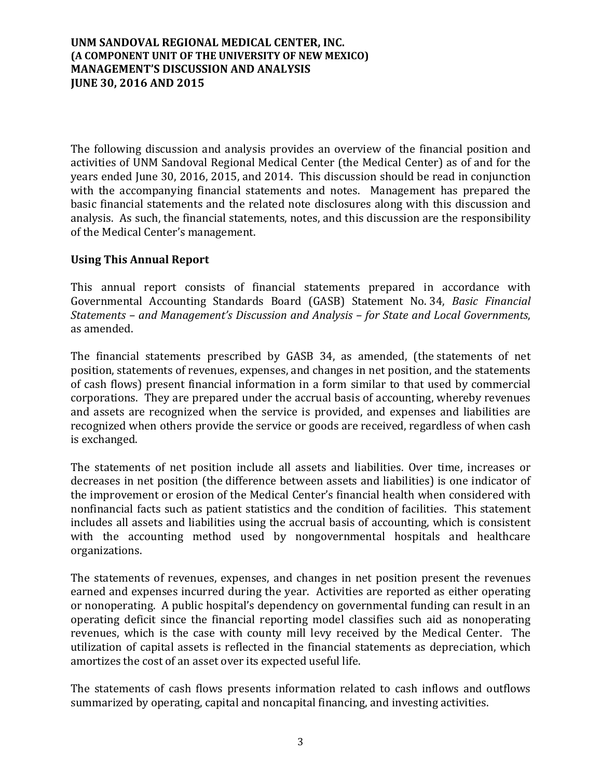The following discussion and analysis provides an overview of the financial position and activities of UNM Sandoval Regional Medical Center (the Medical Center) as of and for the years ended June 30, 2016, 2015, and 2014. This discussion should be read in conjunction with the accompanying financial statements and notes. Management has prepared the basic financial statements and the related note disclosures along with this discussion and analysis. As such, the financial statements, notes, and this discussion are the responsibility of the Medical Center's management.

### **Using This Annual Report**

This annual report consists of financial statements prepared in accordance with Governmental Accounting Standards Board (GASB) Statement No. 34, *Basic Financial Statements – and Management's Discussion and Analysis – for State and Local Governments*, as amended.

The financial statements prescribed by GASB 34, as amended, (the statements of net position, statements of revenues, expenses, and changes in net position, and the statements of cash flows) present financial information in a form similar to that used by commercial corporations. They are prepared under the accrual basis of accounting, whereby revenues and assets are recognized when the service is provided, and expenses and liabilities are recognized when others provide the service or goods are received, regardless of when cash is exchanged.

The statements of net position include all assets and liabilities. Over time, increases or decreases in net position (the difference between assets and liabilities) is one indicator of the improvement or erosion of the Medical Center's financial health when considered with nonfinancial facts such as patient statistics and the condition of facilities. This statement includes all assets and liabilities using the accrual basis of accounting, which is consistent with the accounting method used by nongovernmental hospitals and healthcare organizations. 

The statements of revenues, expenses, and changes in net position present the revenues earned and expenses incurred during the year. Activities are reported as either operating or nonoperating. A public hospital's dependency on governmental funding can result in an operating deficit since the financial reporting model classifies such aid as nonoperating revenues, which is the case with county mill levy received by the Medical Center. The utilization of capital assets is reflected in the financial statements as depreciation, which amortizes the cost of an asset over its expected useful life.

The statements of cash flows presents information related to cash inflows and outflows summarized by operating, capital and noncapital financing, and investing activities.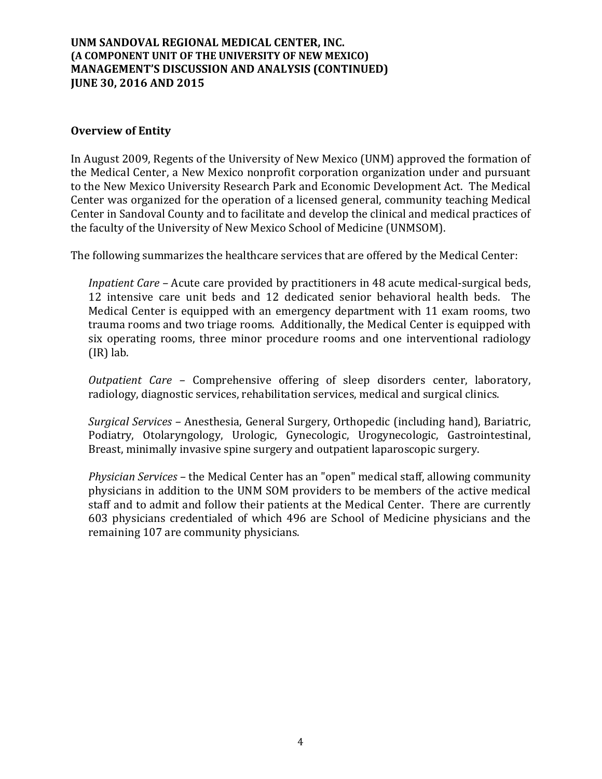### **Overview of Entity**

In August 2009, Regents of the University of New Mexico (UNM) approved the formation of the Medical Center, a New Mexico nonprofit corporation organization under and pursuant to the New Mexico University Research Park and Economic Development Act. The Medical Center was organized for the operation of a licensed general, community teaching Medical Center in Sandoval County and to facilitate and develop the clinical and medical practices of the faculty of the University of New Mexico School of Medicine (UNMSOM).

The following summarizes the healthcare services that are offered by the Medical Center:

*Inpatient Care* – Acute care provided by practitioners in 48 acute medical-surgical beds, 12 intensive care unit beds and 12 dedicated senior behavioral health beds. The Medical Center is equipped with an emergency department with 11 exam rooms, two trauma rooms and two triage rooms. Additionally, the Medical Center is equipped with six operating rooms, three minor procedure rooms and one interventional radiology  $(IR)$  lab.

*Outpatient Care –* Comprehensive offering of sleep disorders center, laboratory, radiology, diagnostic services, rehabilitation services, medical and surgical clinics.

*Surgical Services* - Anesthesia, General Surgery, Orthopedic (including hand), Bariatric, Podiatry, Otolaryngology, Urologic, Gynecologic, Urogynecologic, Gastrointestinal, Breast, minimally invasive spine surgery and outpatient laparoscopic surgery.

*Physician Services* – the Medical Center has an "open" medical staff, allowing community physicians in addition to the UNM SOM providers to be members of the active medical staff and to admit and follow their patients at the Medical Center. There are currently 603 physicians credentialed of which 496 are School of Medicine physicians and the remaining 107 are community physicians.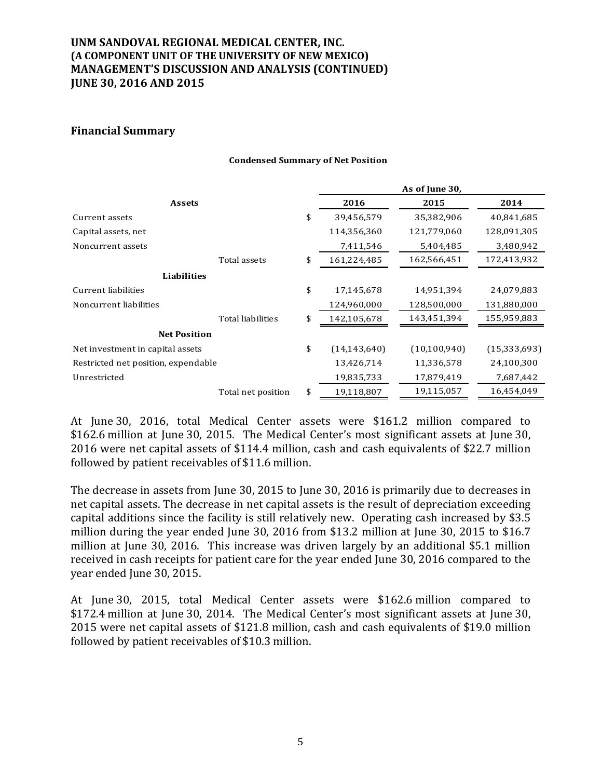### **Financial Summary**

#### **Condensed Summary of Net Position**

|                                     |                      | As of June 30, |                |
|-------------------------------------|----------------------|----------------|----------------|
| <b>Assets</b>                       | 2016                 | 2015           | 2014           |
| Current assets                      | \$<br>39,456,579     | 35,382,906     | 40,841,685     |
| Capital assets, net                 | 114,356,360          | 121,779,060    | 128,091,305    |
| Noncurrent assets                   | 7,411,546            | 5,404,485      | 3,480,942      |
| Total assets                        | \$<br>161,224,485    | 162,566,451    | 172,413,932    |
| Liabilities                         |                      |                |                |
| Current liabilities                 | \$<br>17,145,678     | 14,951,394     | 24,079,883     |
| Noncurrent liabilities              | 124,960,000          | 128,500,000    | 131,880,000    |
| <b>Total liabilities</b>            | \$<br>142,105,678    | 143,451,394    | 155,959,883    |
| <b>Net Position</b>                 |                      |                |                |
| Net investment in capital assets    | \$<br>(14, 143, 640) | (10,100,940)   | (15, 333, 693) |
| Restricted net position, expendable | 13,426,714           | 11,336,578     | 24,100,300     |
| Unrestricted                        | 19,835,733           | 17,879,419     | 7,687,442      |
| Total net position                  | \$<br>19,118,807     | 19,115,057     | 16,454,049     |

At June 30, 2016, total Medical Center assets were \$161.2 million compared to \$162.6 million at June 30, 2015. The Medical Center's most significant assets at June 30, 2016 were net capital assets of \$114.4 million, cash and cash equivalents of \$22.7 million followed by patient receivables of \$11.6 million.

The decrease in assets from June 30, 2015 to June 30, 2016 is primarily due to decreases in net capital assets. The decrease in net capital assets is the result of depreciation exceeding capital additions since the facility is still relatively new. Operating cash increased by \$3.5 million during the year ended June 30, 2016 from \$13.2 million at June 30, 2015 to \$16.7 million at June 30, 2016. This increase was driven largely by an additional \$5.1 million received in cash receipts for patient care for the year ended June 30, 2016 compared to the year ended June 30, 2015.

At June 30, 2015, total Medical Center assets were \$162.6 million compared to \$172.4 million at June 30, 2014. The Medical Center's most significant assets at June 30, 2015 were net capital assets of \$121.8 million, cash and cash equivalents of \$19.0 million followed by patient receivables of \$10.3 million.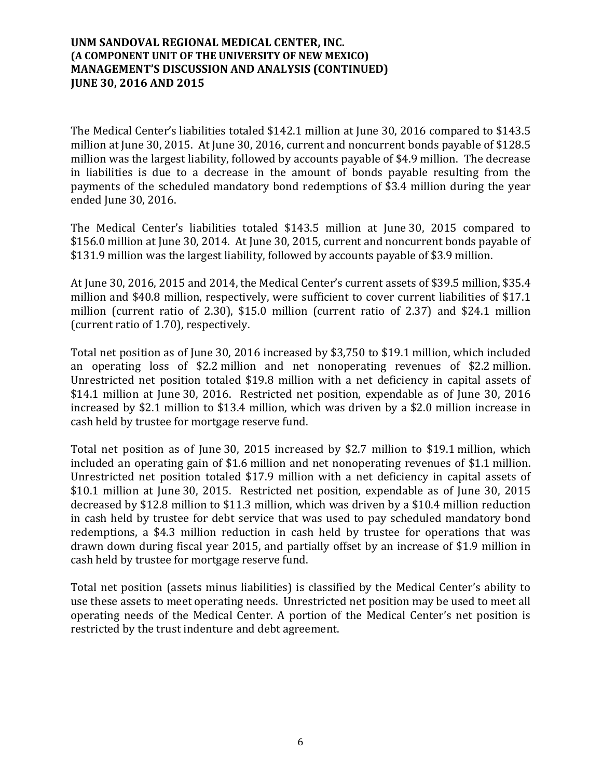The Medical Center's liabilities totaled \$142.1 million at June 30, 2016 compared to \$143.5 million at June  $30$ , 2015. At June  $30$ , 2016, current and noncurrent bonds payable of \$128.5 million was the largest liability, followed by accounts payable of \$4.9 million. The decrease in liabilities is due to a decrease in the amount of bonds payable resulting from the payments of the scheduled mandatory bond redemptions of \$3.4 million during the year ended June 30, 2016.

The Medical Center's liabilities totaled \$143.5 million at June 30, 2015 compared to \$156.0 million at June 30, 2014. At June 30, 2015, current and noncurrent bonds payable of \$131.9 million was the largest liability, followed by accounts payable of \$3.9 million.

At June 30, 2016, 2015 and 2014, the Medical Center's current assets of \$39.5 million, \$35.4 million and \$40.8 million, respectively, were sufficient to cover current liabilities of \$17.1 million (current ratio of 2.30),  $$15.0$  million (current ratio of 2.37) and  $$24.1$  million (current ratio of 1.70), respectively.

Total net position as of June 30, 2016 increased by \$3,750 to \$19.1 million, which included an operating loss of  $$2.2$  million and net nonoperating revenues of  $$2.2$  million. Unrestricted net position totaled \$19.8 million with a net deficiency in capital assets of \$14.1 million at June 30, 2016. Restricted net position, expendable as of June 30, 2016 increased by \$2.1 million to \$13.4 million, which was driven by a \$2.0 million increase in cash held by trustee for mortgage reserve fund.

Total net position as of June 30, 2015 increased by \$2.7 million to \$19.1 million, which included an operating gain of \$1.6 million and net nonoperating revenues of \$1.1 million. Unrestricted net position totaled \$17.9 million with a net deficiency in capital assets of \$10.1 million at June 30, 2015. Restricted net position, expendable as of June 30, 2015 decreased by \$12.8 million to \$11.3 million, which was driven by a \$10.4 million reduction in cash held by trustee for debt service that was used to pay scheduled mandatory bond redemptions, a \$4.3 million reduction in cash held by trustee for operations that was drawn down during fiscal year 2015, and partially offset by an increase of \$1.9 million in cash held by trustee for mortgage reserve fund.

Total net position (assets minus liabilities) is classified by the Medical Center's ability to use these assets to meet operating needs. Unrestricted net position may be used to meet all operating needs of the Medical Center. A portion of the Medical Center's net position is restricted by the trust indenture and debt agreement.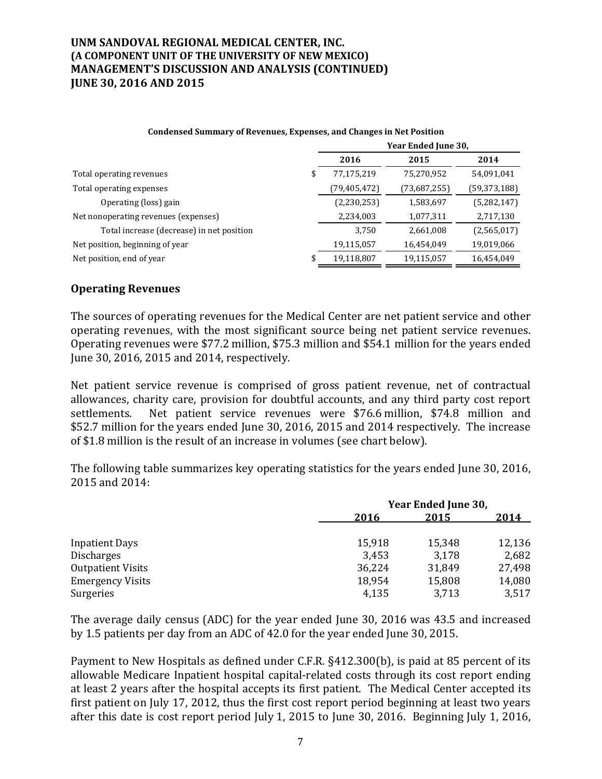|                                           | Year Ended June 30, |              |                |
|-------------------------------------------|---------------------|--------------|----------------|
|                                           | 2016                | 2015         | 2014           |
| Total operating revenues                  | \$<br>77,175,219    | 75,270,952   | 54,091,041     |
| Total operating expenses                  | (79, 405, 472)      | (73,687,255) | (59, 373, 188) |
| Operating (loss) gain                     | (2,230,253)         | 1,583,697    | (5,282,147)    |
| Net nonoperating revenues (expenses)      | 2,234,003           | 1,077,311    | 2,717,130      |
| Total increase (decrease) in net position | 3,750               | 2,661,008    | (2,565,017)    |
| Net position, beginning of year           | 19,115,057          | 16,454,049   | 19,019,066     |
| Net position, end of year                 | \$<br>19,118,807    | 19,115,057   | 16,454,049     |

#### **Condensed Summary of Revenues, Expenses, and Changes in Net Position**

### **Operating Revenues**

The sources of operating revenues for the Medical Center are net patient service and other operating revenues, with the most significant source being net patient service revenues. Operating revenues were \$77.2 million, \$75.3 million and \$54.1 million for the years ended June 30, 2016, 2015 and 2014, respectively.

Net patient service revenue is comprised of gross patient revenue, net of contractual allowances, charity care, provision for doubtful accounts, and any third party cost report settlements. Net patient service revenues were \$76.6 million, \$74.8 million and \$52.7 million for the years ended June 30, 2016, 2015 and 2014 respectively. The increase of \$1.8 million is the result of an increase in volumes (see chart below).

The following table summarizes key operating statistics for the years ended June 30, 2016, 2015 and 2014:

|                         |              | Year Ended June 30, |        |  |  |
|-------------------------|--------------|---------------------|--------|--|--|
|                         | 2016<br>2015 |                     | 2014   |  |  |
| <b>Inpatient Days</b>   | 15,918       | 15,348              | 12,136 |  |  |
| <b>Discharges</b>       | 3.453        | 3,178               | 2,682  |  |  |
| Outpatient Visits       | 36,224       | 31,849              | 27,498 |  |  |
| <b>Emergency Visits</b> | 18,954       | 15,808              | 14,080 |  |  |
| Surgeries               | 4,135        | 3,713               | 3,517  |  |  |

The average daily census (ADC) for the year ended June 30, 2016 was 43.5 and increased by 1.5 patients per day from an ADC of 42.0 for the year ended June 30, 2015.

Payment to New Hospitals as defined under C.F.R. §412.300(b), is paid at 85 percent of its allowable Medicare Inpatient hospital capital-related costs through its cost report ending at least 2 years after the hospital accepts its first patient. The Medical Center accepted its first patient on July 17, 2012, thus the first cost report period beginning at least two years after this date is cost report period July 1, 2015 to June 30, 2016. Beginning July 1, 2016.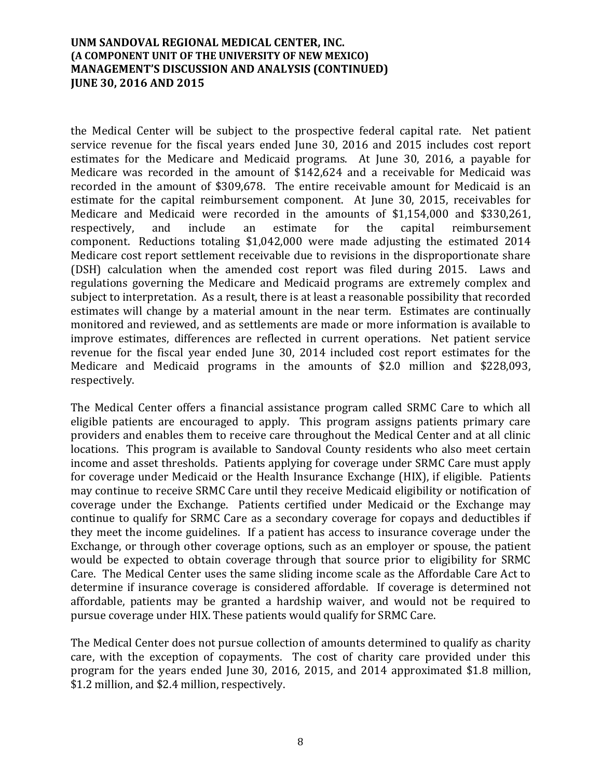the Medical Center will be subject to the prospective federal capital rate. Net patient service revenue for the fiscal years ended June 30, 2016 and 2015 includes cost report estimates for the Medicare and Medicaid programs. At June 30, 2016, a payable for Medicare was recorded in the amount of \$142,624 and a receivable for Medicaid was recorded in the amount of \$309,678. The entire receivable amount for Medicaid is an estimate for the capital reimbursement component. At June 30, 2015, receivables for Medicare and Medicaid were recorded in the amounts of \$1,154,000 and \$330,261, respectively, and include an estimate for the capital reimbursement component. Reductions totaling \$1,042,000 were made adjusting the estimated 2014 Medicare cost report settlement receivable due to revisions in the disproportionate share (DSH) calculation when the amended cost report was filed during 2015. Laws and regulations governing the Medicare and Medicaid programs are extremely complex and subject to interpretation. As a result, there is at least a reasonable possibility that recorded estimates will change by a material amount in the near term. Estimates are continually monitored and reviewed, and as settlements are made or more information is available to improve estimates, differences are reflected in current operations. Net patient service revenue for the fiscal year ended June 30, 2014 included cost report estimates for the Medicare and Medicaid programs in the amounts of \$2.0 million and \$228,093, respectively. 

The Medical Center offers a financial assistance program called SRMC Care to which all eligible patients are encouraged to apply. This program assigns patients primary care providers and enables them to receive care throughout the Medical Center and at all clinic locations. This program is available to Sandoval County residents who also meet certain income and asset thresholds. Patients applying for coverage under SRMC Care must apply for coverage under Medicaid or the Health Insurance Exchange (HIX), if eligible. Patients may continue to receive SRMC Care until they receive Medicaid eligibility or notification of coverage under the Exchange. Patients certified under Medicaid or the Exchange may continue to qualify for SRMC Care as a secondary coverage for copays and deductibles if they meet the income guidelines. If a patient has access to insurance coverage under the Exchange, or through other coverage options, such as an employer or spouse, the patient would be expected to obtain coverage through that source prior to eligibility for SRMC Care. The Medical Center uses the same sliding income scale as the Affordable Care Act to determine if insurance coverage is considered affordable. If coverage is determined not affordable, patients may be granted a hardship waiver, and would not be required to pursue coverage under HIX. These patients would qualify for SRMC Care.

The Medical Center does not pursue collection of amounts determined to qualify as charity care, with the exception of copayments. The cost of charity care provided under this program for the years ended June 30, 2016, 2015, and 2014 approximated \$1.8 million, \$1.2 million, and \$2.4 million, respectively.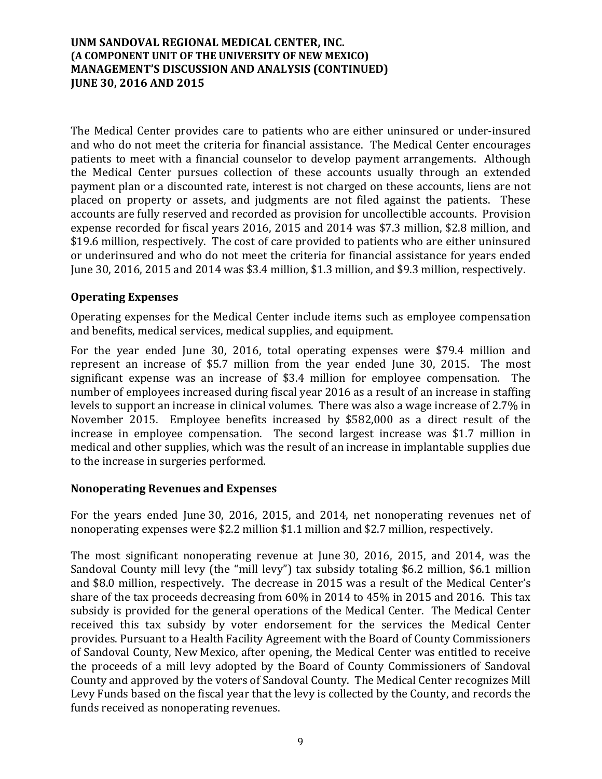The Medical Center provides care to patients who are either uninsured or under-insured and who do not meet the criteria for financial assistance. The Medical Center encourages patients to meet with a financial counselor to develop payment arrangements. Although the Medical Center pursues collection of these accounts usually through an extended payment plan or a discounted rate, interest is not charged on these accounts, liens are not placed on property or assets, and judgments are not filed against the patients. These accounts are fully reserved and recorded as provision for uncollectible accounts. Provision expense recorded for fiscal years 2016, 2015 and 2014 was \$7.3 million, \$2.8 million, and \$19.6 million, respectively. The cost of care provided to patients who are either uninsured or underinsured and who do not meet the criteria for financial assistance for years ended June 30, 2016, 2015 and 2014 was \$3.4 million, \$1.3 million, and \$9.3 million, respectively.

### **Operating Expenses**

Operating expenses for the Medical Center include items such as employee compensation and benefits, medical services, medical supplies, and equipment.

For the year ended June 30, 2016, total operating expenses were \$79.4 million and represent an increase of \$5.7 million from the year ended June 30, 2015. The most significant expense was an increase of \$3.4 million for employee compensation. The number of employees increased during fiscal year 2016 as a result of an increase in staffing levels to support an increase in clinical volumes. There was also a wage increase of 2.7% in November 2015. Employee benefits increased by \$582,000 as a direct result of the increase in employee compensation. The second largest increase was \$1.7 million in medical and other supplies, which was the result of an increase in implantable supplies due to the increase in surgeries performed.

### **Nonoperating Revenues and Expenses**

For the years ended June 30, 2016, 2015, and 2014, net nonoperating revenues net of nonoperating expenses were \$2.2 million \$1.1 million and \$2.7 million, respectively.

The most significant nonoperating revenue at June 30, 2016, 2015, and 2014, was the Sandoval County mill levy (the "mill levy") tax subsidy totaling \$6.2 million, \$6.1 million and \$8.0 million, respectively. The decrease in 2015 was a result of the Medical Center's share of the tax proceeds decreasing from  $60\%$  in 2014 to 45% in 2015 and 2016. This tax subsidy is provided for the general operations of the Medical Center. The Medical Center received this tax subsidy by voter endorsement for the services the Medical Center provides. Pursuant to a Health Facility Agreement with the Board of County Commissioners of Sandoval County, New Mexico, after opening, the Medical Center was entitled to receive the proceeds of a mill levy adopted by the Board of County Commissioners of Sandoval County and approved by the voters of Sandoval County. The Medical Center recognizes Mill Levy Funds based on the fiscal year that the levy is collected by the County, and records the funds received as nonoperating revenues.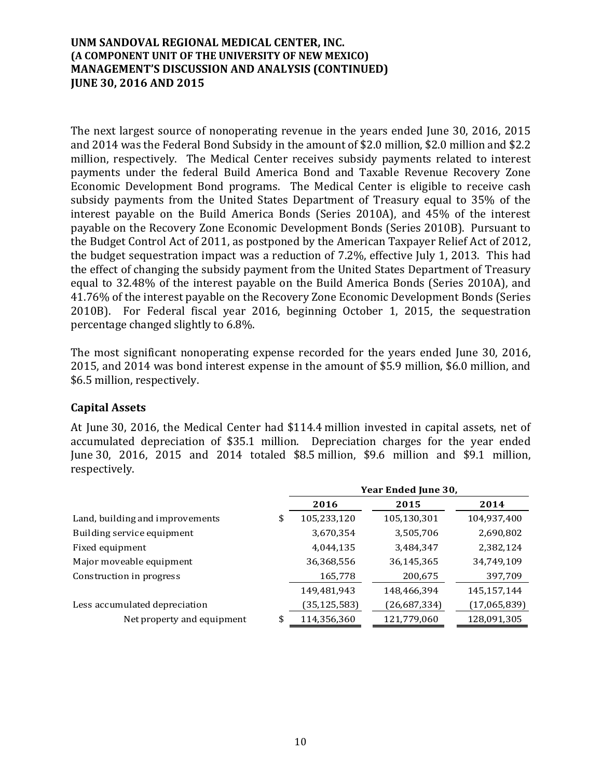The next largest source of nonoperating revenue in the years ended June 30, 2016, 2015 and 2014 was the Federal Bond Subsidy in the amount of \$2.0 million, \$2.0 million and \$2.2 million, respectively. The Medical Center receives subsidy payments related to interest payments under the federal Build America Bond and Taxable Revenue Recovery Zone Economic Development Bond programs. The Medical Center is eligible to receive cash subsidy payments from the United States Department of Treasury equal to 35% of the interest payable on the Build America Bonds (Series 2010A), and 45% of the interest payable on the Recovery Zone Economic Development Bonds (Series 2010B). Pursuant to the Budget Control Act of 2011, as postponed by the American Taxpayer Relief Act of 2012, the budget sequestration impact was a reduction of  $7.2\%$ , effective July 1, 2013. This had the effect of changing the subsidy payment from the United States Department of Treasury equal to 32.48% of the interest payable on the Build America Bonds (Series 2010A), and 41.76% of the interest payable on the Recovery Zone Economic Development Bonds (Series 2010B). For Federal fiscal year 2016, beginning October 1, 2015, the sequestration percentage changed slightly to 6.8%.

The most significant nonoperating expense recorded for the years ended June 30, 2016, 2015, and 2014 was bond interest expense in the amount of \$5.9 million, \$6.0 million, and \$6.5 million, respectively.

### **Capital Assets**

At June 30, 2016, the Medical Center had \$114.4 million invested in capital assets, net of accumulated depreciation of \$35.1 million. Depreciation charges for the year ended June 30, 2016, 2015 and 2014 totaled \$8.5 million, \$9.6 million and \$9.1 million, respectively. 

|                                 |                   | Year Ended June 30, |              |
|---------------------------------|-------------------|---------------------|--------------|
|                                 | 2016              | 2015                | 2014         |
| Land, building and improvements | \$<br>105,233,120 | 105,130,301         | 104,937,400  |
| Building service equipment      | 3,670,354         | 3,505,706           | 2,690,802    |
| Fixed equipment                 | 4,044,135         | 3,484,347           | 2,382,124    |
| Major moveable equipment        | 36,368,556        | 36,145,365          | 34,749,109   |
| Construction in progress        | 165,778           | 200,675             | 397,709      |
|                                 | 149,481,943       | 148,466,394         | 145,157,144  |
| Less accumulated depreciation   | (35,125,583)      | (26,687,334)        | (17,065,839) |
| Net property and equipment      | \$<br>114,356,360 | 121,779,060         | 128,091,305  |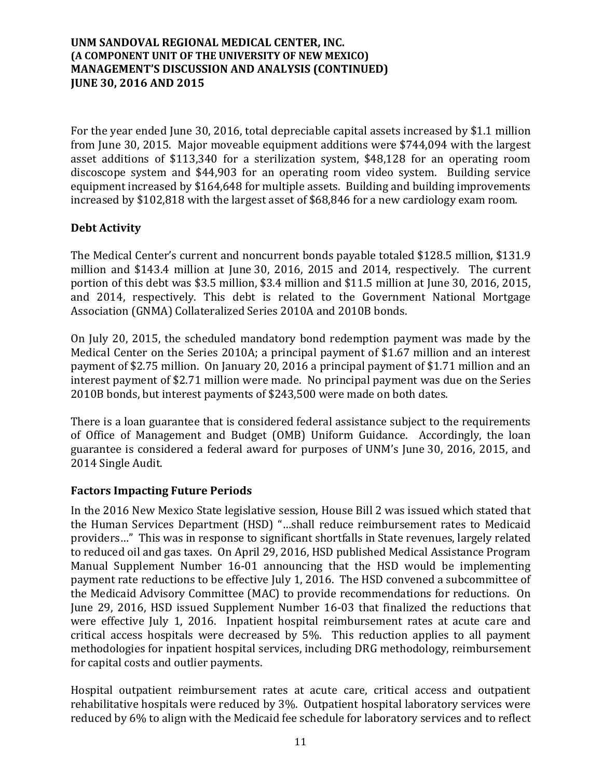For the year ended June 30, 2016, total depreciable capital assets increased by \$1.1 million from June 30, 2015. Major moveable equipment additions were \$744,094 with the largest asset additions of \$113,340 for a sterilization system, \$48,128 for an operating room discoscope system and \$44,903 for an operating room video system. Building service equipment increased by \$164,648 for multiple assets. Building and building improvements increased by  $$102,818$  with the largest asset of  $$68,846$  for a new cardiology exam room.

## **Debt Activity**

The Medical Center's current and noncurrent bonds payable totaled \$128.5 million, \$131.9 million and \$143.4 million at June 30, 2016, 2015 and 2014, respectively. The current portion of this debt was \$3.5 million, \$3.4 million and \$11.5 million at June 30, 2016, 2015, and 2014, respectively. This debt is related to the Government National Mortgage Association (GNMA) Collateralized Series 2010A and 2010B bonds.

On July 20, 2015, the scheduled mandatory bond redemption payment was made by the Medical Center on the Series 2010A; a principal payment of \$1.67 million and an interest payment of \$2.75 million. On January 20, 2016 a principal payment of \$1.71 million and an interest payment of \$2.71 million were made. No principal payment was due on the Series 2010B bonds, but interest payments of \$243,500 were made on both dates.

There is a loan guarantee that is considered federal assistance subject to the requirements of Office of Management and Budget (OMB) Uniform Guidance. Accordingly, the loan guarantee is considered a federal award for purposes of UNM's June 30, 2016, 2015, and 2014 Single Audit.

## **Factors Impacting Future Periods**

In the 2016 New Mexico State legislative session, House Bill 2 was issued which stated that the Human Services Department (HSD) "...shall reduce reimbursement rates to Medicaid providers..." This was in response to significant shortfalls in State revenues, largely related to reduced oil and gas taxes. On April 29, 2016, HSD published Medical Assistance Program Manual Supplement Number 16-01 announcing that the HSD would be implementing payment rate reductions to be effective July 1, 2016. The HSD convened a subcommittee of the Medicaid Advisory Committee (MAC) to provide recommendations for reductions. On June 29, 2016, HSD issued Supplement Number 16-03 that finalized the reductions that were effective July 1, 2016. Inpatient hospital reimbursement rates at acute care and critical access hospitals were decreased by  $5\%$ . This reduction applies to all payment methodologies for inpatient hospital services, including DRG methodology, reimbursement for capital costs and outlier payments.

Hospital outpatient reimbursement rates at acute care, critical access and outpatient rehabilitative hospitals were reduced by 3%. Outpatient hospital laboratory services were reduced by 6% to align with the Medicaid fee schedule for laboratory services and to reflect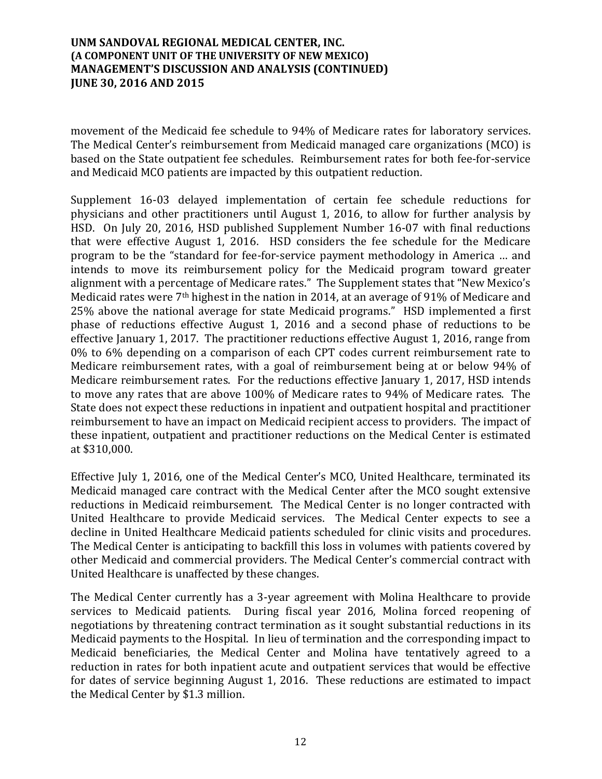movement of the Medicaid fee schedule to 94% of Medicare rates for laboratory services. The Medical Center's reimbursement from Medicaid managed care organizations (MCO) is based on the State outpatient fee schedules. Reimbursement rates for both fee-for-service and Medicaid MCO patients are impacted by this outpatient reduction.

Supplement 16-03 delayed implementation of certain fee schedule reductions for physicians and other practitioners until August 1, 2016, to allow for further analysis by HSD. On July 20, 2016, HSD published Supplement Number 16-07 with final reductions that were effective August 1, 2016. HSD considers the fee schedule for the Medicare program to be the "standard for fee-for-service payment methodology in America ... and intends to move its reimbursement policy for the Medicaid program toward greater alignment with a percentage of Medicare rates." The Supplement states that "New Mexico's Medicaid rates were  $7<sup>th</sup>$  highest in the nation in 2014, at an average of 91% of Medicare and 25% above the national average for state Medicaid programs." HSD implemented a first phase of reductions effective August 1, 2016 and a second phase of reductions to be effective January 1, 2017. The practitioner reductions effective August 1, 2016, range from 0% to 6% depending on a comparison of each CPT codes current reimbursement rate to Medicare reimbursement rates, with a goal of reimbursement being at or below 94% of Medicare reimbursement rates. For the reductions effective January 1, 2017, HSD intends to move any rates that are above 100% of Medicare rates to 94% of Medicare rates. The State does not expect these reductions in inpatient and outpatient hospital and practitioner reimbursement to have an impact on Medicaid recipient access to providers. The impact of these inpatient, outpatient and practitioner reductions on the Medical Center is estimated at \$310,000. 

Effective July 1, 2016, one of the Medical Center's MCO, United Healthcare, terminated its Medicaid managed care contract with the Medical Center after the MCO sought extensive reductions in Medicaid reimbursement. The Medical Center is no longer contracted with United Healthcare to provide Medicaid services. The Medical Center expects to see a decline in United Healthcare Medicaid patients scheduled for clinic visits and procedures. The Medical Center is anticipating to backfill this loss in volumes with patients covered by other Medicaid and commercial providers. The Medical Center's commercial contract with United Healthcare is unaffected by these changes.

The Medical Center currently has a 3-year agreement with Molina Healthcare to provide services to Medicaid patients. During fiscal year 2016, Molina forced reopening of negotiations by threatening contract termination as it sought substantial reductions in its Medicaid payments to the Hospital. In lieu of termination and the corresponding impact to Medicaid beneficiaries, the Medical Center and Molina have tentatively agreed to a reduction in rates for both inpatient acute and outpatient services that would be effective for dates of service beginning August 1, 2016. These reductions are estimated to impact the Medical Center by \$1.3 million.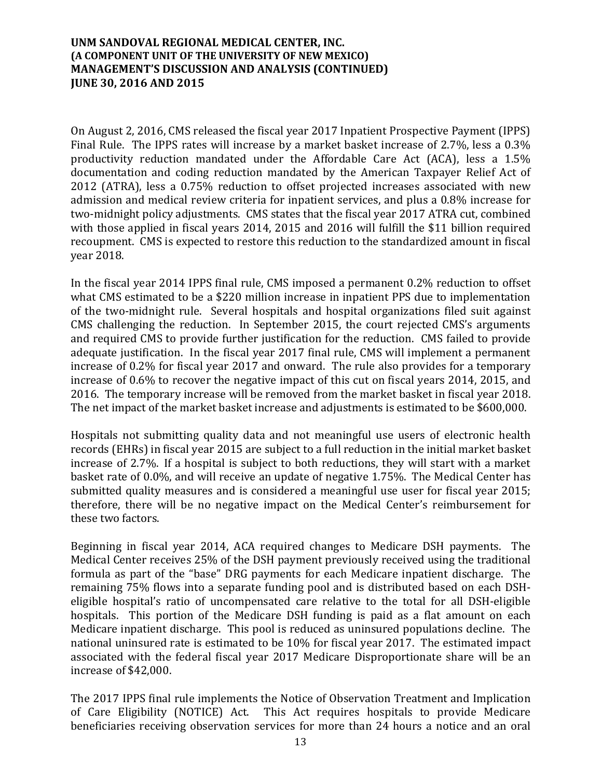On August 2, 2016, CMS released the fiscal year 2017 Inpatient Prospective Payment (IPPS) Final Rule. The IPPS rates will increase by a market basket increase of 2.7%, less a  $0.3\%$ productivity reduction mandated under the Affordable Care Act (ACA), less a  $1.5\%$ documentation and coding reduction mandated by the American Taxpayer Relief Act of 2012 (ATRA), less a 0.75% reduction to offset projected increases associated with new admission and medical review criteria for inpatient services, and plus a 0.8% increase for two-midnight policy adjustments. CMS states that the fiscal year 2017 ATRA cut, combined with those applied in fiscal years  $2014$ ,  $2015$  and  $2016$  will fulfill the \$11 billion required recoupment. CMS is expected to restore this reduction to the standardized amount in fiscal vear 2018.

In the fiscal year 2014 IPPS final rule, CMS imposed a permanent 0.2% reduction to offset what CMS estimated to be a \$220 million increase in inpatient PPS due to implementation of the two-midnight rule. Several hospitals and hospital organizations filed suit against CMS challenging the reduction. In September 2015, the court rejected CMS's arguments and required CMS to provide further justification for the reduction. CMS failed to provide adequate justification. In the fiscal year 2017 final rule, CMS will implement a permanent increase of 0.2% for fiscal vear 2017 and onward. The rule also provides for a temporary increase of  $0.6\%$  to recover the negative impact of this cut on fiscal years 2014, 2015, and 2016. The temporary increase will be removed from the market basket in fiscal year 2018. The net impact of the market basket increase and adjustments is estimated to be \$600,000.

Hospitals not submitting quality data and not meaningful use users of electronic health records (EHRs) in fiscal year 2015 are subject to a full reduction in the initial market basket increase of 2.7%. If a hospital is subject to both reductions, they will start with a market basket rate of 0.0%, and will receive an update of negative 1.75%. The Medical Center has submitted quality measures and is considered a meaningful use user for fiscal year 2015; therefore, there will be no negative impact on the Medical Center's reimbursement for these two factors.

Beginning in fiscal year 2014, ACA required changes to Medicare DSH payments. The Medical Center receives 25% of the DSH payment previously received using the traditional formula as part of the "base" DRG payments for each Medicare inpatient discharge. The remaining 75% flows into a separate funding pool and is distributed based on each DSHeligible hospital's ratio of uncompensated care relative to the total for all DSH-eligible hospitals. This portion of the Medicare DSH funding is paid as a flat amount on each Medicare inpatient discharge. This pool is reduced as uninsured populations decline. The national uninsured rate is estimated to be 10% for fiscal year 2017. The estimated impact associated with the federal fiscal year 2017 Medicare Disproportionate share will be an increase of \$42,000.

The 2017 IPPS final rule implements the Notice of Observation Treatment and Implication of Care Eligibility (NOTICE) Act. This Act requires hospitals to provide Medicare beneficiaries receiving observation services for more than 24 hours a notice and an oral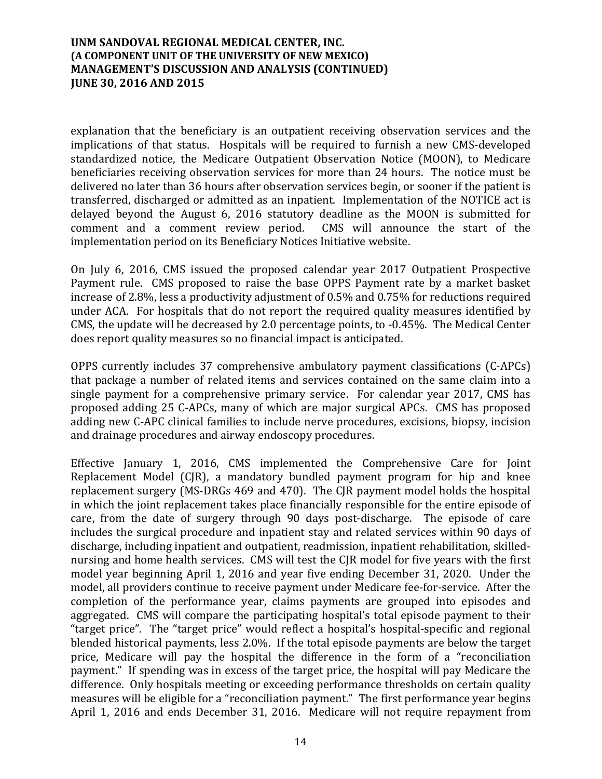explanation that the beneficiary is an outpatient receiving observation services and the implications of that status. Hospitals will be required to furnish a new CMS-developed standardized notice, the Medicare Outpatient Observation Notice (MOON), to Medicare beneficiaries receiving observation services for more than 24 hours. The notice must be delivered no later than 36 hours after observation services begin, or sooner if the patient is transferred, discharged or admitted as an inpatient. Implementation of the NOTICE act is delayed beyond the August  $6$ , 2016 statutory deadline as the MOON is submitted for comment and a comment review period. CMS will announce the start of the implementation period on its Beneficiary Notices Initiative website.

On July 6, 2016, CMS issued the proposed calendar year 2017 Outpatient Prospective Payment rule. CMS proposed to raise the base OPPS Payment rate by a market basket increase of 2.8%, less a productivity adjustment of  $0.5\%$  and  $0.75\%$  for reductions required under ACA. For hospitals that do not report the required quality measures identified by CMS, the update will be decreased by 2.0 percentage points, to  $-0.45\%$ . The Medical Center does report quality measures so no financial impact is anticipated.

OPPS currently includes 37 comprehensive ambulatory payment classifications (C-APCs) that package a number of related items and services contained on the same claim into a single payment for a comprehensive primary service. For calendar year 2017, CMS has proposed adding 25 C-APCs, many of which are major surgical APCs. CMS has proposed adding new C-APC clinical families to include nerve procedures, excisions, biopsy, incision and drainage procedures and airway endoscopy procedures.

Effective January 1, 2016, CMS implemented the Comprehensive Care for Joint Replacement Model  $(CIR)$ , a mandatory bundled payment program for hip and knee replacement surgery (MS-DRGs 469 and 470). The CJR payment model holds the hospital in which the joint replacement takes place financially responsible for the entire episode of care, from the date of surgery through 90 days post-discharge. The episode of care includes the surgical procedure and inpatient stay and related services within 90 days of discharge, including inpatient and outpatient, readmission, inpatient rehabilitation, skillednursing and home health services. CMS will test the CJR model for five years with the first model year beginning April 1, 2016 and year five ending December 31, 2020. Under the model, all providers continue to receive payment under Medicare fee-for-service. After the completion of the performance year, claims payments are grouped into episodes and aggregated. CMS will compare the participating hospital's total episode payment to their "target price". The "target price" would reflect a hospital's hospital-specific and regional blended historical payments, less 2.0%. If the total episode payments are below the target price, Medicare will pay the hospital the difference in the form of a "reconciliation payment." If spending was in excess of the target price, the hospital will pay Medicare the difference. Only hospitals meeting or exceeding performance thresholds on certain quality measures will be eligible for a "reconciliation payment." The first performance year begins April 1, 2016 and ends December 31, 2016. Medicare will not require repayment from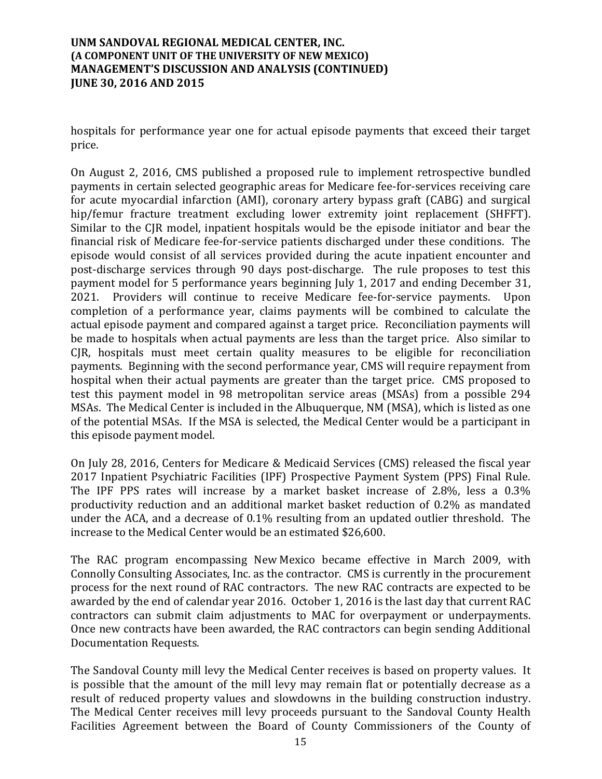hospitals for performance year one for actual episode payments that exceed their target price. 

On August 2, 2016, CMS published a proposed rule to implement retrospective bundled payments in certain selected geographic areas for Medicare fee-for-services receiving care for acute myocardial infarction (AMI), coronary artery bypass graft (CABG) and surgical hip/femur fracture treatment excluding lower extremity joint replacement (SHFFT). Similar to the CJR model, inpatient hospitals would be the episode initiator and bear the financial risk of Medicare fee-for-service patients discharged under these conditions. The episode would consist of all services provided during the acute inpatient encounter and post-discharge services through 90 days post-discharge. The rule proposes to test this payment model for 5 performance years beginning July 1, 2017 and ending December 31, 2021. Providers will continue to receive Medicare fee-for-service payments. Upon completion of a performance year, claims payments will be combined to calculate the actual episode payment and compared against a target price. Reconciliation payments will be made to hospitals when actual payments are less than the target price. Also similar to CJR, hospitals must meet certain quality measures to be eligible for reconciliation payments. Beginning with the second performance year, CMS will require repayment from hospital when their actual payments are greater than the target price. CMS proposed to test this payment model in 98 metropolitan service areas (MSAs) from a possible 294 MSAs. The Medical Center is included in the Albuquerque, NM (MSA), which is listed as one of the potential MSAs. If the MSA is selected, the Medical Center would be a participant in this episode payment model.

On July 28, 2016, Centers for Medicare & Medicaid Services (CMS) released the fiscal year 2017 Inpatient Psychiatric Facilities (IPF) Prospective Payment System (PPS) Final Rule. The IPF PPS rates will increase by a market basket increase of  $2.8\%$ , less a  $0.3\%$ productivity reduction and an additional market basket reduction of 0.2% as mandated under the ACA, and a decrease of 0.1% resulting from an updated outlier threshold. The increase to the Medical Center would be an estimated \$26,600.

The RAC program encompassing New Mexico became effective in March 2009, with Connolly Consulting Associates, Inc. as the contractor. CMS is currently in the procurement process for the next round of RAC contractors. The new RAC contracts are expected to be awarded by the end of calendar year 2016. October 1, 2016 is the last day that current RAC contractors can submit claim adjustments to MAC for overpayment or underpayments. Once new contracts have been awarded, the RAC contractors can begin sending Additional Documentation Requests. 

The Sandoval County mill levy the Medical Center receives is based on property values. It is possible that the amount of the mill levy may remain flat or potentially decrease as a result of reduced property values and slowdowns in the building construction industry. The Medical Center receives mill levy proceeds pursuant to the Sandoval County Health Facilities Agreement between the Board of County Commissioners of the County of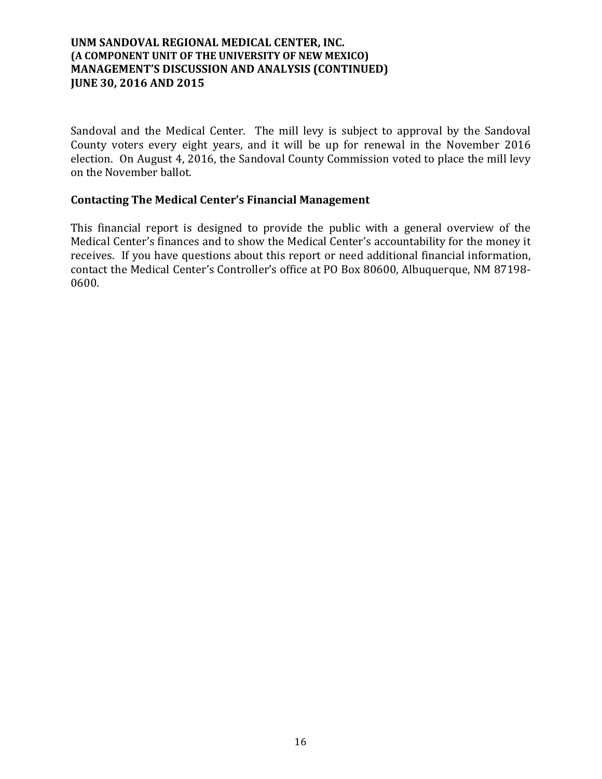Sandoval and the Medical Center. The mill levy is subject to approval by the Sandoval County voters every eight years, and it will be up for renewal in the November 2016 election. On August 4, 2016, the Sandoval County Commission voted to place the mill levy on the November ballot.

### **Contacting The Medical Center's Financial Management**

This financial report is designed to provide the public with a general overview of the Medical Center's finances and to show the Medical Center's accountability for the money it receives. If you have questions about this report or need additional financial information, contact the Medical Center's Controller's office at PO Box 80600, Albuquerque, NM 87198-0600.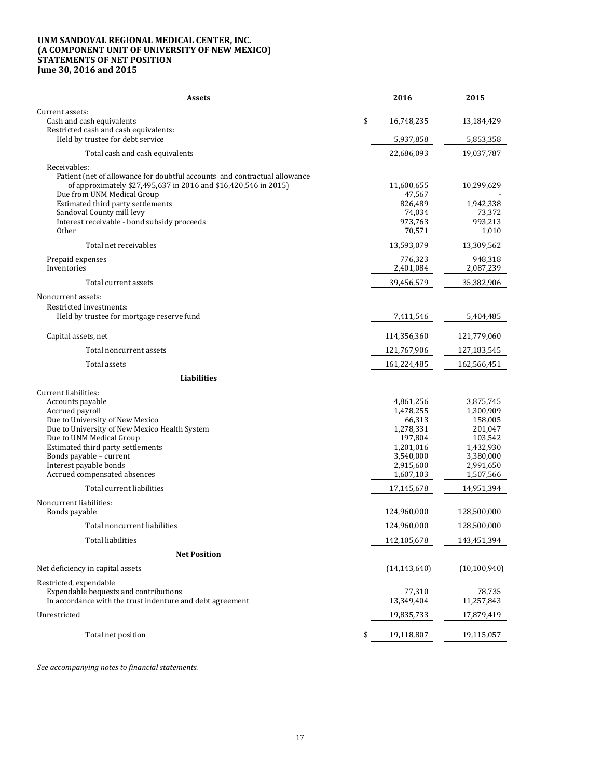#### **UNM SANDOVAL REGIONAL MEDICAL CENTER, INC. (A COMPONENT UNIT OF UNIVERSITY OF NEW MEXICO) STATEMENTS OF NET POSITION June 30, 2016 and 2015**

| <b>Assets</b>                                                                                                                                                                              | 2016                                   | 2015                                    |
|--------------------------------------------------------------------------------------------------------------------------------------------------------------------------------------------|----------------------------------------|-----------------------------------------|
| Current assets:<br>Cash and cash equivalents                                                                                                                                               | \$<br>16,748,235                       | 13,184,429                              |
| Restricted cash and cash equivalents:<br>Held by trustee for debt service                                                                                                                  | 5,937,858                              | 5,853,358                               |
| Total cash and cash equivalents                                                                                                                                                            | 22,686,093                             | 19,037,787                              |
| Receivables:<br>Patient (net of allowance for doubtful accounts and contractual allowance<br>of approximately \$27,495,637 in 2016 and \$16,420,546 in 2015)<br>Due from UNM Medical Group | 11,600,655<br>47,567                   | 10,299,629                              |
| Estimated third party settlements<br>Sandoval County mill levy<br>Interest receivable - bond subsidy proceeds<br>Other                                                                     | 826,489<br>74,034<br>973,763<br>70,571 | 1,942,338<br>73,372<br>993,213<br>1,010 |
| Total net receivables                                                                                                                                                                      | 13,593,079                             | 13,309,562                              |
| Prepaid expenses<br>Inventories                                                                                                                                                            | 776,323<br>2,401,084                   | 948,318<br>2,087,239                    |
| Total current assets                                                                                                                                                                       | 39,456,579                             | 35,382,906                              |
| Noncurrent assets:<br>Restricted investments:                                                                                                                                              |                                        |                                         |
| Held by trustee for mortgage reserve fund                                                                                                                                                  | 7,411,546                              | 5,404,485                               |
| Capital assets, net                                                                                                                                                                        | 114,356,360                            | 121,779,060                             |
| Total noncurrent assets                                                                                                                                                                    | 121,767,906                            | 127,183,545                             |
| Total assets                                                                                                                                                                               | 161,224,485                            | 162,566,451                             |
| <b>Liabilities</b>                                                                                                                                                                         |                                        |                                         |
| Current liabilities:<br>Accounts payable                                                                                                                                                   | 4,861,256                              | 3,875,745                               |
| Accrued payroll<br>Due to University of New Mexico                                                                                                                                         | 1,478,255<br>66,313                    | 1,300,909<br>158,005                    |
| Due to University of New Mexico Health System<br>Due to UNM Medical Group                                                                                                                  | 1,278,331<br>197,804                   | 201,047<br>103,542                      |
| Estimated third party settlements<br>Bonds payable - current                                                                                                                               | 1,201,016<br>3,540,000                 | 1,432,930<br>3,380,000                  |
| Interest payable bonds<br>Accrued compensated absences                                                                                                                                     | 2,915,600<br>1,607,103                 | 2,991,650<br>1,507,566                  |
| Total current liabilities                                                                                                                                                                  | 17,145,678                             | 14,951,394                              |
| Noncurrent liabilities:<br>Bonds payable                                                                                                                                                   | 124,960,000                            | 128,500,000                             |
| Total noncurrent liabilities                                                                                                                                                               | 124,960,000                            | 128,500,000                             |
| <b>Total liabilities</b>                                                                                                                                                                   | 142,105,678                            | 143,451,394                             |
| <b>Net Position</b>                                                                                                                                                                        |                                        |                                         |
| Net deficiency in capital assets                                                                                                                                                           | (14, 143, 640)                         | (10, 100, 940)                          |
| Restricted, expendable<br>Expendable bequests and contributions<br>In accordance with the trust indenture and debt agreement                                                               | 77,310<br>13,349,404                   | 78,735<br>11,257,843                    |
| Unrestricted                                                                                                                                                                               | 19,835,733                             | 17,879,419                              |
|                                                                                                                                                                                            |                                        |                                         |
| Total net position                                                                                                                                                                         | \$<br>19,118,807                       | 19,115,057                              |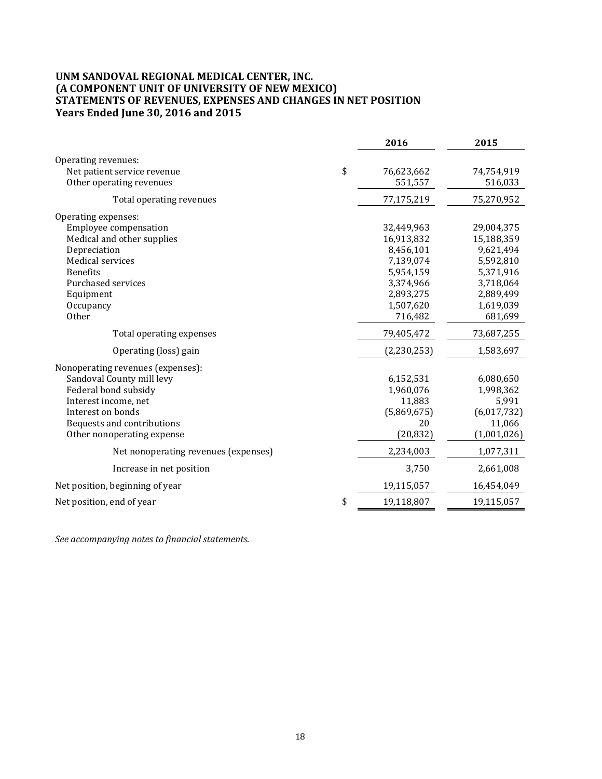### **UNM SANDOVAL REGIONAL MEDICAL CENTER, INC. (A COMPONENT UNIT OF UNIVERSITY OF NEW MEXICO) STATEMENTS OF REVENUES, EXPENSES AND CHANGES IN NET POSITION Years Ended June 30, 2016 and 2015**

|                                                                                                                                                                                                          | 2016                                                                                                              | 2015                                                                                                              |
|----------------------------------------------------------------------------------------------------------------------------------------------------------------------------------------------------------|-------------------------------------------------------------------------------------------------------------------|-------------------------------------------------------------------------------------------------------------------|
| Operating revenues:<br>Net patient service revenue<br>Other operating revenues                                                                                                                           | \$<br>76,623,662<br>551,557                                                                                       | 74,754,919<br>516,033                                                                                             |
| Total operating revenues                                                                                                                                                                                 | 77,175,219                                                                                                        | 75,270,952                                                                                                        |
| Operating expenses:<br>Employee compensation<br>Medical and other supplies<br>Depreciation<br><b>Medical services</b><br><b>Benefits</b><br><b>Purchased services</b><br>Equipment<br>Occupancy<br>Other | 32,449,963<br>16,913,832<br>8,456,101<br>7,139,074<br>5,954,159<br>3,374,966<br>2,893,275<br>1,507,620<br>716,482 | 29,004,375<br>15,188,359<br>9,621,494<br>5,592,810<br>5,371,916<br>3,718,064<br>2,889,499<br>1,619,039<br>681,699 |
| Total operating expenses                                                                                                                                                                                 | 79,405,472                                                                                                        | 73,687,255                                                                                                        |
| Operating (loss) gain                                                                                                                                                                                    | (2,230,253)                                                                                                       | 1,583,697                                                                                                         |
| Nonoperating revenues (expenses):<br>Sandoval County mill levy<br>Federal bond subsidy<br>Interest income, net<br>Interest on bonds<br>Bequests and contributions<br>Other nonoperating expense          | 6,152,531<br>1,960,076<br>11,883<br>(5,869,675)<br>20<br>(20, 832)                                                | 6,080,650<br>1,998,362<br>5,991<br>(6,017,732)<br>11,066<br>(1,001,026)                                           |
| Net nonoperating revenues (expenses)                                                                                                                                                                     | 2,234,003                                                                                                         | 1,077,311                                                                                                         |
| Increase in net position                                                                                                                                                                                 | 3,750                                                                                                             | 2,661,008                                                                                                         |
| Net position, beginning of year                                                                                                                                                                          | 19,115,057                                                                                                        | 16,454,049                                                                                                        |
| Net position, end of year                                                                                                                                                                                | \$<br>19,118,807                                                                                                  | 19,115,057                                                                                                        |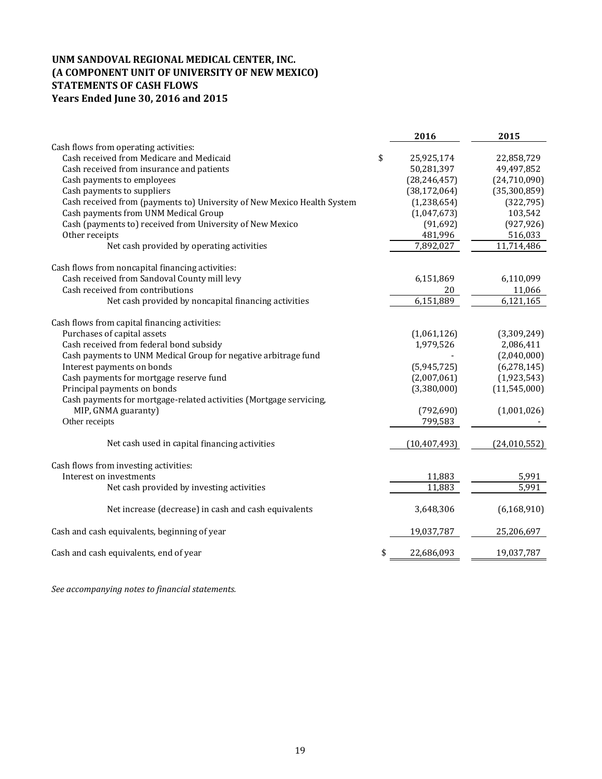### **UNM SANDOVAL REGIONAL MEDICAL CENTER, INC. (A COMPONENT UNIT OF UNIVERSITY OF NEW MEXICO) STATEMENTS OF CASH FLOWS Years Ended June 30, 2016 and 2015**

| Cash received from Medicare and Medicaid<br>\$<br>25,925,174<br>22,858,729<br>Cash received from insurance and patients<br>50,281,397<br>49,497,852<br>(24,710,090)<br>Cash payments to employees<br>(28, 246, 457)<br>Cash payments to suppliers<br>(35, 300, 859)<br>(38, 172, 064)<br>Cash received from (payments to) University of New Mexico Health System<br>(1, 238, 654)<br>(322, 795)<br>Cash payments from UNM Medical Group<br>103,542<br>(1,047,673)<br>Cash (payments to) received from University of New Mexico<br>(927, 926)<br>(91,692)<br>Other receipts<br>481,996<br>516,033<br>7,892,027<br>Net cash provided by operating activities<br>11,714,486<br>Cash flows from noncapital financing activities:<br>Cash received from Sandoval County mill levy<br>6,151,869<br>6,110,099<br>Cash received from contributions<br>20<br>11,066<br>Net cash provided by noncapital financing activities<br>6,151,889<br>6,121,165<br>Cash flows from capital financing activities:<br>Purchases of capital assets<br>(1,061,126)<br>(3,309,249)<br>Cash received from federal bond subsidy<br>1,979,526<br>2,086,411<br>Cash payments to UNM Medical Group for negative arbitrage fund<br>(2,040,000)<br>Interest payments on bonds<br>(6, 278, 145)<br>(5,945,725)<br>Cash payments for mortgage reserve fund<br>(2,007,061)<br>(1,923,543)<br>Principal payments on bonds<br>(3,380,000)<br>(11,545,000)<br>Cash payments for mortgage-related activities (Mortgage servicing,<br>MIP, GNMA guaranty)<br>(792,690)<br>(1,001,026)<br>Other receipts<br>799,583<br>Net cash used in capital financing activities<br>(10, 407, 493)<br>(24,010,552)<br>Cash flows from investing activities:<br>Interest on investments<br>11,883<br>5,991<br>5,991<br>Net cash provided by investing activities<br>11,883<br>Net increase (decrease) in cash and cash equivalents<br>3,648,306<br>(6, 168, 910)<br>Cash and cash equivalents, beginning of year<br>19,037,787<br>25,206,697<br>\$<br>Cash and cash equivalents, end of year<br>22,686,093<br>19,037,787 |                                       | 2016 | 2015 |
|---------------------------------------------------------------------------------------------------------------------------------------------------------------------------------------------------------------------------------------------------------------------------------------------------------------------------------------------------------------------------------------------------------------------------------------------------------------------------------------------------------------------------------------------------------------------------------------------------------------------------------------------------------------------------------------------------------------------------------------------------------------------------------------------------------------------------------------------------------------------------------------------------------------------------------------------------------------------------------------------------------------------------------------------------------------------------------------------------------------------------------------------------------------------------------------------------------------------------------------------------------------------------------------------------------------------------------------------------------------------------------------------------------------------------------------------------------------------------------------------------------------------------------------------------------------------------------------------------------------------------------------------------------------------------------------------------------------------------------------------------------------------------------------------------------------------------------------------------------------------------------------------------------------------------------------------------------------------------------------------------------------------------------------------------------------------|---------------------------------------|------|------|
|                                                                                                                                                                                                                                                                                                                                                                                                                                                                                                                                                                                                                                                                                                                                                                                                                                                                                                                                                                                                                                                                                                                                                                                                                                                                                                                                                                                                                                                                                                                                                                                                                                                                                                                                                                                                                                                                                                                                                                                                                                                                     | Cash flows from operating activities: |      |      |
|                                                                                                                                                                                                                                                                                                                                                                                                                                                                                                                                                                                                                                                                                                                                                                                                                                                                                                                                                                                                                                                                                                                                                                                                                                                                                                                                                                                                                                                                                                                                                                                                                                                                                                                                                                                                                                                                                                                                                                                                                                                                     |                                       |      |      |
|                                                                                                                                                                                                                                                                                                                                                                                                                                                                                                                                                                                                                                                                                                                                                                                                                                                                                                                                                                                                                                                                                                                                                                                                                                                                                                                                                                                                                                                                                                                                                                                                                                                                                                                                                                                                                                                                                                                                                                                                                                                                     |                                       |      |      |
|                                                                                                                                                                                                                                                                                                                                                                                                                                                                                                                                                                                                                                                                                                                                                                                                                                                                                                                                                                                                                                                                                                                                                                                                                                                                                                                                                                                                                                                                                                                                                                                                                                                                                                                                                                                                                                                                                                                                                                                                                                                                     |                                       |      |      |
|                                                                                                                                                                                                                                                                                                                                                                                                                                                                                                                                                                                                                                                                                                                                                                                                                                                                                                                                                                                                                                                                                                                                                                                                                                                                                                                                                                                                                                                                                                                                                                                                                                                                                                                                                                                                                                                                                                                                                                                                                                                                     |                                       |      |      |
|                                                                                                                                                                                                                                                                                                                                                                                                                                                                                                                                                                                                                                                                                                                                                                                                                                                                                                                                                                                                                                                                                                                                                                                                                                                                                                                                                                                                                                                                                                                                                                                                                                                                                                                                                                                                                                                                                                                                                                                                                                                                     |                                       |      |      |
|                                                                                                                                                                                                                                                                                                                                                                                                                                                                                                                                                                                                                                                                                                                                                                                                                                                                                                                                                                                                                                                                                                                                                                                                                                                                                                                                                                                                                                                                                                                                                                                                                                                                                                                                                                                                                                                                                                                                                                                                                                                                     |                                       |      |      |
|                                                                                                                                                                                                                                                                                                                                                                                                                                                                                                                                                                                                                                                                                                                                                                                                                                                                                                                                                                                                                                                                                                                                                                                                                                                                                                                                                                                                                                                                                                                                                                                                                                                                                                                                                                                                                                                                                                                                                                                                                                                                     |                                       |      |      |
|                                                                                                                                                                                                                                                                                                                                                                                                                                                                                                                                                                                                                                                                                                                                                                                                                                                                                                                                                                                                                                                                                                                                                                                                                                                                                                                                                                                                                                                                                                                                                                                                                                                                                                                                                                                                                                                                                                                                                                                                                                                                     |                                       |      |      |
|                                                                                                                                                                                                                                                                                                                                                                                                                                                                                                                                                                                                                                                                                                                                                                                                                                                                                                                                                                                                                                                                                                                                                                                                                                                                                                                                                                                                                                                                                                                                                                                                                                                                                                                                                                                                                                                                                                                                                                                                                                                                     |                                       |      |      |
|                                                                                                                                                                                                                                                                                                                                                                                                                                                                                                                                                                                                                                                                                                                                                                                                                                                                                                                                                                                                                                                                                                                                                                                                                                                                                                                                                                                                                                                                                                                                                                                                                                                                                                                                                                                                                                                                                                                                                                                                                                                                     |                                       |      |      |
|                                                                                                                                                                                                                                                                                                                                                                                                                                                                                                                                                                                                                                                                                                                                                                                                                                                                                                                                                                                                                                                                                                                                                                                                                                                                                                                                                                                                                                                                                                                                                                                                                                                                                                                                                                                                                                                                                                                                                                                                                                                                     |                                       |      |      |
|                                                                                                                                                                                                                                                                                                                                                                                                                                                                                                                                                                                                                                                                                                                                                                                                                                                                                                                                                                                                                                                                                                                                                                                                                                                                                                                                                                                                                                                                                                                                                                                                                                                                                                                                                                                                                                                                                                                                                                                                                                                                     |                                       |      |      |
|                                                                                                                                                                                                                                                                                                                                                                                                                                                                                                                                                                                                                                                                                                                                                                                                                                                                                                                                                                                                                                                                                                                                                                                                                                                                                                                                                                                                                                                                                                                                                                                                                                                                                                                                                                                                                                                                                                                                                                                                                                                                     |                                       |      |      |
|                                                                                                                                                                                                                                                                                                                                                                                                                                                                                                                                                                                                                                                                                                                                                                                                                                                                                                                                                                                                                                                                                                                                                                                                                                                                                                                                                                                                                                                                                                                                                                                                                                                                                                                                                                                                                                                                                                                                                                                                                                                                     |                                       |      |      |
|                                                                                                                                                                                                                                                                                                                                                                                                                                                                                                                                                                                                                                                                                                                                                                                                                                                                                                                                                                                                                                                                                                                                                                                                                                                                                                                                                                                                                                                                                                                                                                                                                                                                                                                                                                                                                                                                                                                                                                                                                                                                     |                                       |      |      |
|                                                                                                                                                                                                                                                                                                                                                                                                                                                                                                                                                                                                                                                                                                                                                                                                                                                                                                                                                                                                                                                                                                                                                                                                                                                                                                                                                                                                                                                                                                                                                                                                                                                                                                                                                                                                                                                                                                                                                                                                                                                                     |                                       |      |      |
|                                                                                                                                                                                                                                                                                                                                                                                                                                                                                                                                                                                                                                                                                                                                                                                                                                                                                                                                                                                                                                                                                                                                                                                                                                                                                                                                                                                                                                                                                                                                                                                                                                                                                                                                                                                                                                                                                                                                                                                                                                                                     |                                       |      |      |
|                                                                                                                                                                                                                                                                                                                                                                                                                                                                                                                                                                                                                                                                                                                                                                                                                                                                                                                                                                                                                                                                                                                                                                                                                                                                                                                                                                                                                                                                                                                                                                                                                                                                                                                                                                                                                                                                                                                                                                                                                                                                     |                                       |      |      |
|                                                                                                                                                                                                                                                                                                                                                                                                                                                                                                                                                                                                                                                                                                                                                                                                                                                                                                                                                                                                                                                                                                                                                                                                                                                                                                                                                                                                                                                                                                                                                                                                                                                                                                                                                                                                                                                                                                                                                                                                                                                                     |                                       |      |      |
|                                                                                                                                                                                                                                                                                                                                                                                                                                                                                                                                                                                                                                                                                                                                                                                                                                                                                                                                                                                                                                                                                                                                                                                                                                                                                                                                                                                                                                                                                                                                                                                                                                                                                                                                                                                                                                                                                                                                                                                                                                                                     |                                       |      |      |
|                                                                                                                                                                                                                                                                                                                                                                                                                                                                                                                                                                                                                                                                                                                                                                                                                                                                                                                                                                                                                                                                                                                                                                                                                                                                                                                                                                                                                                                                                                                                                                                                                                                                                                                                                                                                                                                                                                                                                                                                                                                                     |                                       |      |      |
|                                                                                                                                                                                                                                                                                                                                                                                                                                                                                                                                                                                                                                                                                                                                                                                                                                                                                                                                                                                                                                                                                                                                                                                                                                                                                                                                                                                                                                                                                                                                                                                                                                                                                                                                                                                                                                                                                                                                                                                                                                                                     |                                       |      |      |
|                                                                                                                                                                                                                                                                                                                                                                                                                                                                                                                                                                                                                                                                                                                                                                                                                                                                                                                                                                                                                                                                                                                                                                                                                                                                                                                                                                                                                                                                                                                                                                                                                                                                                                                                                                                                                                                                                                                                                                                                                                                                     |                                       |      |      |
|                                                                                                                                                                                                                                                                                                                                                                                                                                                                                                                                                                                                                                                                                                                                                                                                                                                                                                                                                                                                                                                                                                                                                                                                                                                                                                                                                                                                                                                                                                                                                                                                                                                                                                                                                                                                                                                                                                                                                                                                                                                                     |                                       |      |      |
|                                                                                                                                                                                                                                                                                                                                                                                                                                                                                                                                                                                                                                                                                                                                                                                                                                                                                                                                                                                                                                                                                                                                                                                                                                                                                                                                                                                                                                                                                                                                                                                                                                                                                                                                                                                                                                                                                                                                                                                                                                                                     |                                       |      |      |
|                                                                                                                                                                                                                                                                                                                                                                                                                                                                                                                                                                                                                                                                                                                                                                                                                                                                                                                                                                                                                                                                                                                                                                                                                                                                                                                                                                                                                                                                                                                                                                                                                                                                                                                                                                                                                                                                                                                                                                                                                                                                     |                                       |      |      |
|                                                                                                                                                                                                                                                                                                                                                                                                                                                                                                                                                                                                                                                                                                                                                                                                                                                                                                                                                                                                                                                                                                                                                                                                                                                                                                                                                                                                                                                                                                                                                                                                                                                                                                                                                                                                                                                                                                                                                                                                                                                                     |                                       |      |      |
|                                                                                                                                                                                                                                                                                                                                                                                                                                                                                                                                                                                                                                                                                                                                                                                                                                                                                                                                                                                                                                                                                                                                                                                                                                                                                                                                                                                                                                                                                                                                                                                                                                                                                                                                                                                                                                                                                                                                                                                                                                                                     |                                       |      |      |
|                                                                                                                                                                                                                                                                                                                                                                                                                                                                                                                                                                                                                                                                                                                                                                                                                                                                                                                                                                                                                                                                                                                                                                                                                                                                                                                                                                                                                                                                                                                                                                                                                                                                                                                                                                                                                                                                                                                                                                                                                                                                     |                                       |      |      |
|                                                                                                                                                                                                                                                                                                                                                                                                                                                                                                                                                                                                                                                                                                                                                                                                                                                                                                                                                                                                                                                                                                                                                                                                                                                                                                                                                                                                                                                                                                                                                                                                                                                                                                                                                                                                                                                                                                                                                                                                                                                                     |                                       |      |      |
|                                                                                                                                                                                                                                                                                                                                                                                                                                                                                                                                                                                                                                                                                                                                                                                                                                                                                                                                                                                                                                                                                                                                                                                                                                                                                                                                                                                                                                                                                                                                                                                                                                                                                                                                                                                                                                                                                                                                                                                                                                                                     |                                       |      |      |
|                                                                                                                                                                                                                                                                                                                                                                                                                                                                                                                                                                                                                                                                                                                                                                                                                                                                                                                                                                                                                                                                                                                                                                                                                                                                                                                                                                                                                                                                                                                                                                                                                                                                                                                                                                                                                                                                                                                                                                                                                                                                     |                                       |      |      |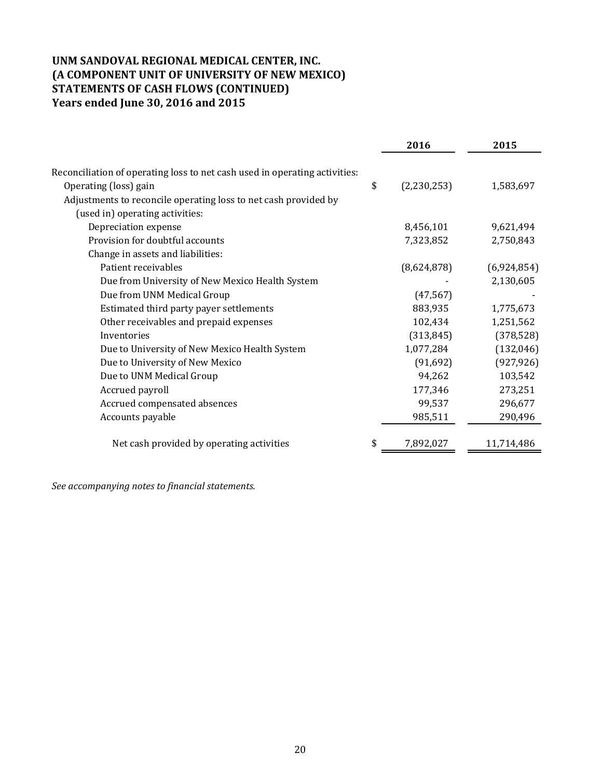## **UNM SANDOVAL REGIONAL MEDICAL CENTER, INC. (A COMPONENT UNIT OF UNIVERSITY OF NEW MEXICO) STATEMENTS OF CASH FLOWS (CONTINUED) Years ended June 30, 2016 and 2015**

|                                                                                                     | 2016              | 2015        |
|-----------------------------------------------------------------------------------------------------|-------------------|-------------|
| Reconciliation of operating loss to net cash used in operating activities:<br>Operating (loss) gain | \$<br>(2,230,253) | 1,583,697   |
| Adjustments to reconcile operating loss to net cash provided by                                     |                   |             |
| (used in) operating activities:                                                                     |                   |             |
| Depreciation expense                                                                                | 8,456,101         | 9,621,494   |
| Provision for doubtful accounts                                                                     | 7,323,852         | 2,750,843   |
| Change in assets and liabilities:                                                                   |                   |             |
| Patient receivables                                                                                 | (8,624,878)       | (6,924,854) |
| Due from University of New Mexico Health System                                                     |                   | 2,130,605   |
| Due from UNM Medical Group                                                                          | (47, 567)         |             |
| Estimated third party payer settlements                                                             | 883,935           | 1,775,673   |
| Other receivables and prepaid expenses                                                              | 102,434           | 1,251,562   |
| Inventories                                                                                         | (313, 845)        | (378, 528)  |
| Due to University of New Mexico Health System                                                       | 1,077,284         | (132,046)   |
| Due to University of New Mexico                                                                     | (91, 692)         | (927, 926)  |
| Due to UNM Medical Group                                                                            | 94,262            | 103,542     |
| Accrued payroll                                                                                     | 177,346           | 273,251     |
| Accrued compensated absences                                                                        | 99,537            | 296,677     |
| Accounts payable                                                                                    | 985,511           | 290,496     |
| Net cash provided by operating activities                                                           | 7,892,027         | 11,714,486  |
|                                                                                                     |                   |             |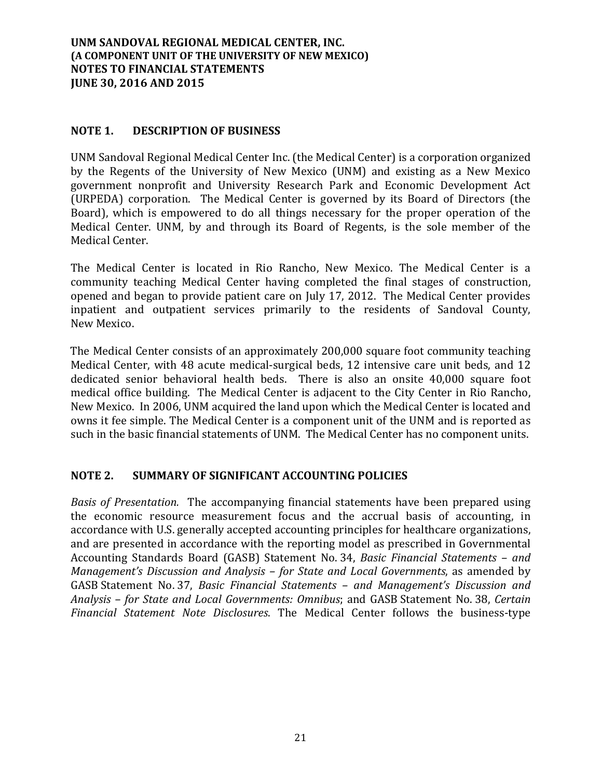## **NOTE 1. DESCRIPTION OF BUSINESS**

UNM Sandoval Regional Medical Center Inc. (the Medical Center) is a corporation organized by the Regents of the University of New Mexico (UNM) and existing as a New Mexico government nonprofit and University Research Park and Economic Development Act (URPEDA) corporation. The Medical Center is governed by its Board of Directors (the Board), which is empowered to do all things necessary for the proper operation of the Medical Center. UNM, by and through its Board of Regents, is the sole member of the Medical Center.

The Medical Center is located in Rio Rancho, New Mexico. The Medical Center is a community teaching Medical Center having completed the final stages of construction, opened and began to provide patient care on July 17, 2012. The Medical Center provides inpatient and outpatient services primarily to the residents of Sandoval County, New Mexico. 

The Medical Center consists of an approximately 200,000 square foot community teaching Medical Center, with 48 acute medical-surgical beds, 12 intensive care unit beds, and 12 dedicated senior behavioral health beds. There is also an onsite 40,000 square foot medical office building. The Medical Center is adjacent to the City Center in Rio Rancho, New Mexico. In 2006, UNM acquired the land upon which the Medical Center is located and owns it fee simple. The Medical Center is a component unit of the UNM and is reported as such in the basic financial statements of UNM. The Medical Center has no component units.

## **NOTE 2. SUMMARY OF SIGNIFICANT ACCOUNTING POLICIES**

*Basis* of *Presentation*. The accompanying financial statements have been prepared using the economic resource measurement focus and the accrual basis of accounting, in accordance with U.S. generally accepted accounting principles for healthcare organizations, and are presented in accordance with the reporting model as prescribed in Governmental Accounting Standards Board (GASB) Statement No. 34, *Basic Financial Statements – and Management's Discussion and Analysis – for State and Local Governments*, as amended by GASB Statement No. 37, *Basic Financial Statements – and Management's Discussion and Analysis – for State and Local Governments: Omnibus*; and GASB Statement No. 38, *Certain Financial Statement Note Disclosures*. The Medical Center follows the business‐type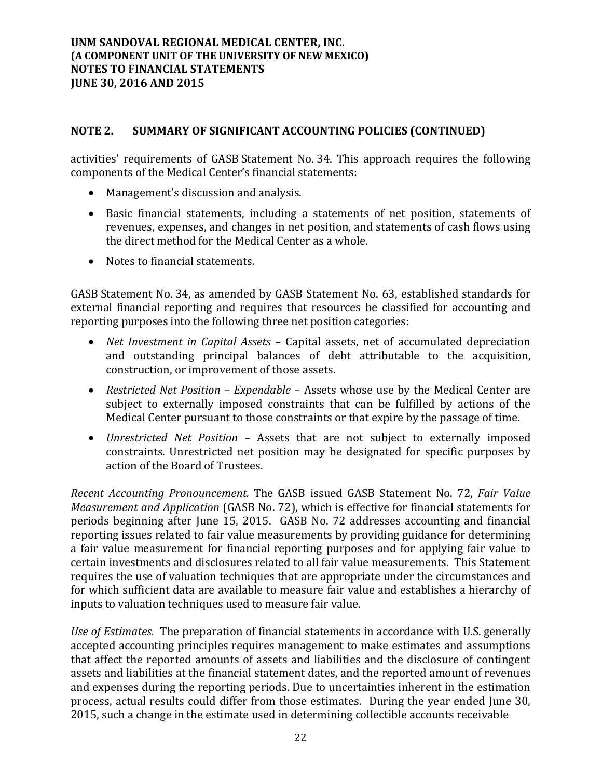activities' requirements of GASB Statement No. 34. This approach requires the following components of the Medical Center's financial statements:

- Management's discussion and analysis.
- Basic financial statements, including a statements of net position, statements of revenues, expenses, and changes in net position, and statements of cash flows using the direct method for the Medical Center as a whole.
- Notes to financial statements.

GASB Statement No. 34, as amended by GASB Statement No. 63, established standards for external financial reporting and requires that resources be classified for accounting and reporting purposes into the following three net position categories:

- *Net Investment in Capital Assets* Capital assets, net of accumulated depreciation and outstanding principal balances of debt attributable to the acquisition, construction, or improvement of those assets.
- Restricted Net Position Expendable Assets whose use by the Medical Center are subject to externally imposed constraints that can be fulfilled by actions of the Medical Center pursuant to those constraints or that expire by the passage of time.
- *Unrestricted Net Position* Assets that are not subject to externally imposed constraints. Unrestricted net position may be designated for specific purposes by action of the Board of Trustees.

*Recent Accounting Pronouncement.* The GASB issued GASB Statement No. 72, *Fair Value Measurement and Application* (GASB No. 72), which is effective for financial statements for periods beginning after June 15, 2015. GASB No. 72 addresses accounting and financial reporting issues related to fair value measurements by providing guidance for determining a fair value measurement for financial reporting purposes and for applying fair value to certain investments and disclosures related to all fair value measurements. This Statement requires the use of valuation techniques that are appropriate under the circumstances and for which sufficient data are available to measure fair value and establishes a hierarchy of inputs to valuation techniques used to measure fair value.

*Use of Estimates.* The preparation of financial statements in accordance with U.S. generally accepted accounting principles requires management to make estimates and assumptions that affect the reported amounts of assets and liabilities and the disclosure of contingent assets and liabilities at the financial statement dates, and the reported amount of revenues and expenses during the reporting periods. Due to uncertainties inherent in the estimation process, actual results could differ from those estimates. During the year ended June 30, 2015, such a change in the estimate used in determining collectible accounts receivable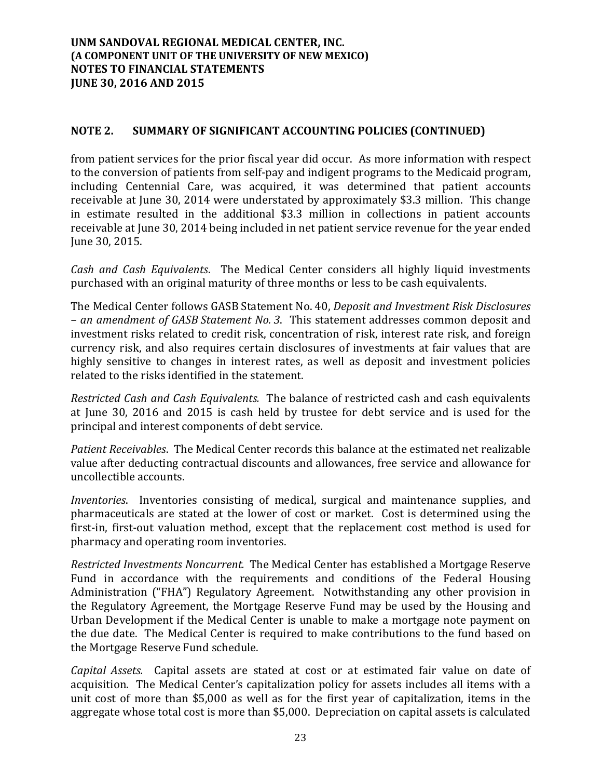from patient services for the prior fiscal year did occur. As more information with respect to the conversion of patients from self-pay and indigent programs to the Medicaid program, including Centennial Care, was acquired, it was determined that patient accounts receivable at June 30, 2014 were understated by approximately \$3.3 million. This change in estimate resulted in the additional \$3.3 million in collections in patient accounts receivable at June 30, 2014 being included in net patient service revenue for the year ended June 30, 2015.

*Cash and Cash Equivalents.* The Medical Center considers all highly liquid investments purchased with an original maturity of three months or less to be cash equivalents.

The Medical Center follows GASB Statement No. 40, *Deposit and Investment Risk Disclosures – an amendment of GASB Statement No. 3*. This statement addresses common deposit and investment risks related to credit risk, concentration of risk, interest rate risk, and foreign currency risk, and also requires certain disclosures of investments at fair values that are highly sensitive to changes in interest rates, as well as deposit and investment policies related to the risks identified in the statement.

*Restricted Cash and Cash Equivalents.* The balance of restricted cash and cash equivalents at June 30, 2016 and 2015 is cash held by trustee for debt service and is used for the principal and interest components of debt service.

*Patient Receivables*. The Medical Center records this balance at the estimated net realizable value after deducting contractual discounts and allowances, free service and allowance for uncollectible accounts.

*Inventories*. Inventories consisting of medical, surgical and maintenance supplies, and pharmaceuticals are stated at the lower of cost or market. Cost is determined using the first-in, first-out valuation method, except that the replacement cost method is used for pharmacy and operating room inventories.

*Restricted Investments Noncurrent.* The Medical Center has established a Mortgage Reserve Fund in accordance with the requirements and conditions of the Federal Housing Administration ("FHA") Regulatory Agreement. Notwithstanding any other provision in the Regulatory Agreement, the Mortgage Reserve Fund may be used by the Housing and Urban Development if the Medical Center is unable to make a mortgage note payment on the due date. The Medical Center is required to make contributions to the fund based on the Mortgage Reserve Fund schedule.

*Capital Assets.* Capital assets are stated at cost or at estimated fair value on date of acquisition. The Medical Center's capitalization policy for assets includes all items with a unit cost of more than \$5,000 as well as for the first year of capitalization, items in the aggregate whose total cost is more than \$5,000. Depreciation on capital assets is calculated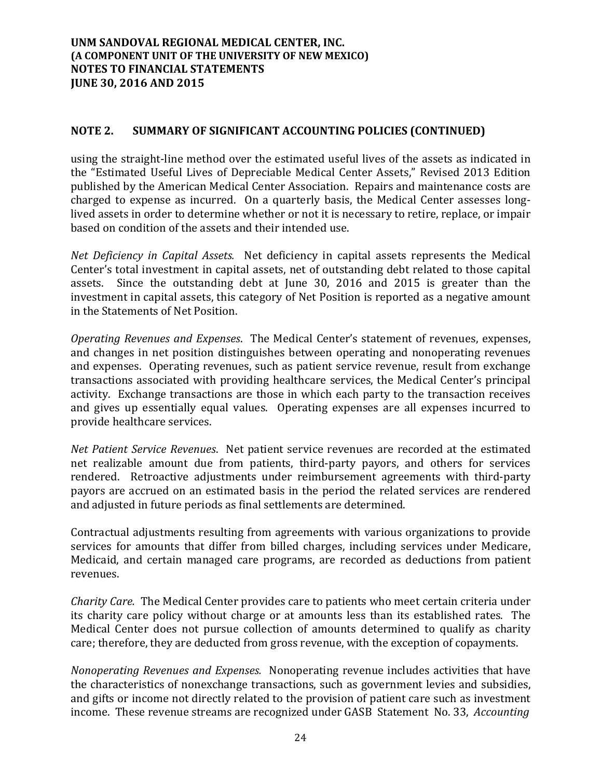using the straight-line method over the estimated useful lives of the assets as indicated in the "Estimated Useful Lives of Depreciable Medical Center Assets," Revised 2013 Edition published by the American Medical Center Association. Repairs and maintenance costs are charged to expense as incurred. On a quarterly basis, the Medical Center assesses longlived assets in order to determine whether or not it is necessary to retire, replace, or impair based on condition of the assets and their intended use.

*Net Deficiency in Capital Assets.* Net deficiency in capital assets represents the Medical Center's total investment in capital assets, net of outstanding debt related to those capital assets. Since the outstanding debt at June 30, 2016 and 2015 is greater than the investment in capital assets, this category of Net Position is reported as a negative amount in the Statements of Net Position.

*Operating Revenues and Expenses*. The Medical Center's statement of revenues, expenses, and changes in net position distinguishes between operating and nonoperating revenues and expenses. Operating revenues, such as patient service revenue, result from exchange transactions associated with providing healthcare services, the Medical Center's principal activity. Exchange transactions are those in which each party to the transaction receives and gives up essentially equal values. Operating expenses are all expenses incurred to provide healthcare services.

*Net Patient Service Revenues.* Net patient service revenues are recorded at the estimated net realizable amount due from patients, third-party payors, and others for services rendered. Retroactive adjustments under reimbursement agreements with third-party payors are accrued on an estimated basis in the period the related services are rendered and adjusted in future periods as final settlements are determined.

Contractual adjustments resulting from agreements with various organizations to provide services for amounts that differ from billed charges, including services under Medicare, Medicaid, and certain managed care programs, are recorded as deductions from patient revenues. 

*Charity Care.* The Medical Center provides care to patients who meet certain criteria under its charity care policy without charge or at amounts less than its established rates. The Medical Center does not pursue collection of amounts determined to qualify as charity care; therefore, they are deducted from gross revenue, with the exception of copayments.

*Nonoperating Revenues and Expenses.* Nonoperating revenue includes activities that have the characteristics of nonexchange transactions, such as government levies and subsidies, and gifts or income not directly related to the provision of patient care such as investment income. These revenue streams are recognized under GASB Statement No. 33, *Accounting*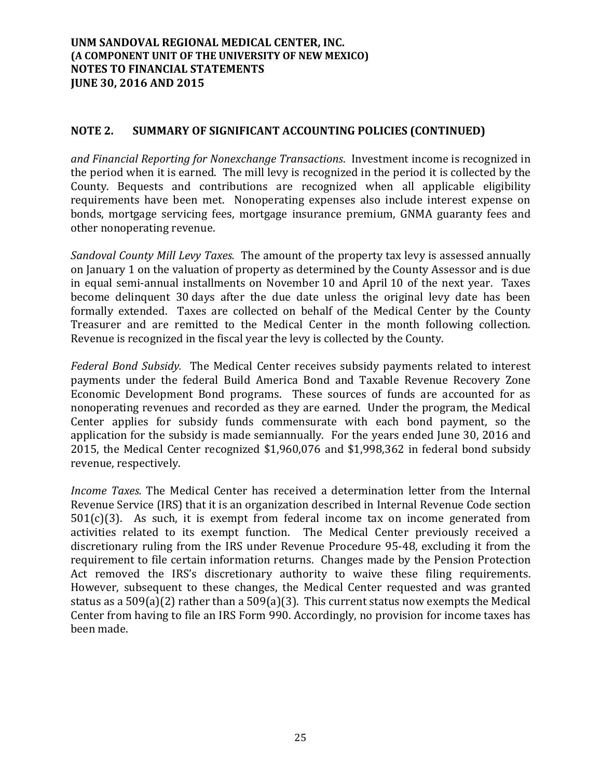*and Financial Reporting for Nonexchange Transactions*. Investment income is recognized in the period when it is earned. The mill levy is recognized in the period it is collected by the County. Bequests and contributions are recognized when all applicable eligibility requirements have been met. Nonoperating expenses also include interest expense on bonds, mortgage servicing fees, mortgage insurance premium, GNMA guaranty fees and other nonoperating revenue.

*Sandoval County Mill Levy Taxes.* The amount of the property tax levy is assessed annually on January 1 on the valuation of property as determined by the County Assessor and is due in equal semi-annual installments on November 10 and April 10 of the next year. Taxes become delinquent 30 days after the due date unless the original levy date has been formally extended. Taxes are collected on behalf of the Medical Center by the County Treasurer and are remitted to the Medical Center in the month following collection. Revenue is recognized in the fiscal year the levy is collected by the County.

*Federal Bond Subsidy.* The Medical Center receives subsidy payments related to interest payments under the federal Build America Bond and Taxable Revenue Recovery Zone Economic Development Bond programs. These sources of funds are accounted for as nonoperating revenues and recorded as they are earned. Under the program, the Medical Center applies for subsidy funds commensurate with each bond payment, so the application for the subsidy is made semiannually. For the years ended June 30, 2016 and 2015, the Medical Center recognized  $$1,960,076$  and  $$1,998,362$  in federal bond subsidy revenue, respectively.

*Income Taxes*. The Medical Center has received a determination letter from the Internal Revenue Service (IRS) that it is an organization described in Internal Revenue Code section  $501(c)(3)$ . As such, it is exempt from federal income tax on income generated from activities related to its exempt function. The Medical Center previously received a discretionary ruling from the IRS under Revenue Procedure 95-48, excluding it from the requirement to file certain information returns. Changes made by the Pension Protection Act removed the IRS's discretionary authority to waive these filing requirements. However, subsequent to these changes, the Medical Center requested and was granted status as a 509(a)(2) rather than a 509(a)(3). This current status now exempts the Medical Center from having to file an IRS Form 990. Accordingly, no provision for income taxes has been made.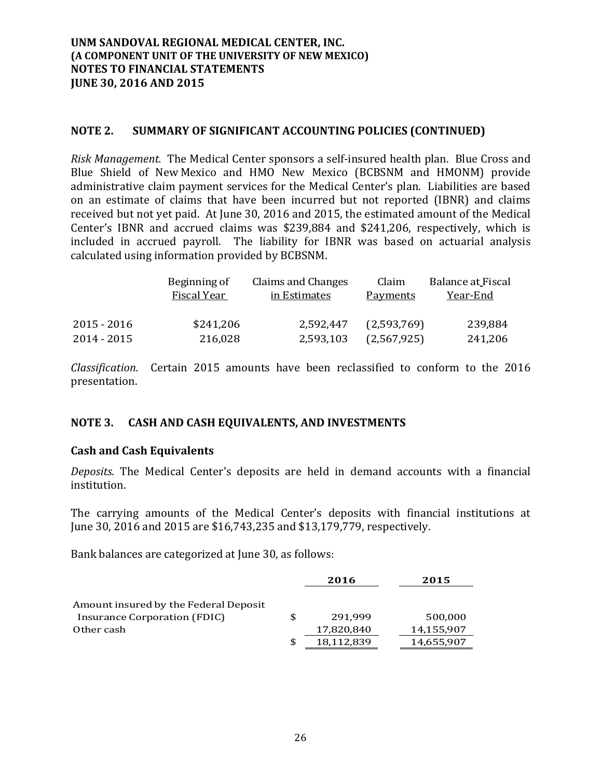*Risk Management.* The Medical Center sponsors a self-insured health plan. Blue Cross and Blue Shield of New Mexico and HMO New Mexico (BCBSNM and HMONM) provide administrative claim payment services for the Medical Center's plan. Liabilities are based on an estimate of claims that have been incurred but not reported (IBNR) and claims received but not yet paid. At June 30, 2016 and 2015, the estimated amount of the Medical Center's IBNR and accrued claims was \$239,884 and \$241,206, respectively, which is included in accrued payroll. The liability for IBNR was based on actuarial analysis calculated using information provided by BCBSNM.

|               | Beginning of | Claims and Changes | Claim       | <b>Balance at Fiscal</b> |
|---------------|--------------|--------------------|-------------|--------------------------|
|               | Fiscal Year  | in Estimates       | Payments    | Year-End                 |
| $2015 - 2016$ | \$241,206    | 2,592,447          | (2,593,769) | 239,884                  |
| $2014 - 2015$ | 216,028      | 2,593,103          | (2,567,925) | 241,206                  |

*Classification.* Certain 2015 amounts have been reclassified to conform to the 2016 presentation.

### **NOTE 3. CASH AND CASH EQUIVALENTS, AND INVESTMENTS**

### **Cash and Cash Equivalents**

*Deposits.* The Medical Center's deposits are held in demand accounts with a financial institution. 

The carrying amounts of the Medical Center's deposits with financial institutions at June 30, 2016 and 2015 are \$16,743,235 and \$13,179,779, respectively.

Bank balances are categorized at June 30, as follows:

|                                       | 2016       | 2015       |
|---------------------------------------|------------|------------|
| Amount insured by the Federal Deposit |            |            |
| Insurance Corporation (FDIC)          | 291.999    | 500,000    |
| Other cash                            | 17,820,840 | 14,155,907 |
|                                       | 18,112,839 | 14,655,907 |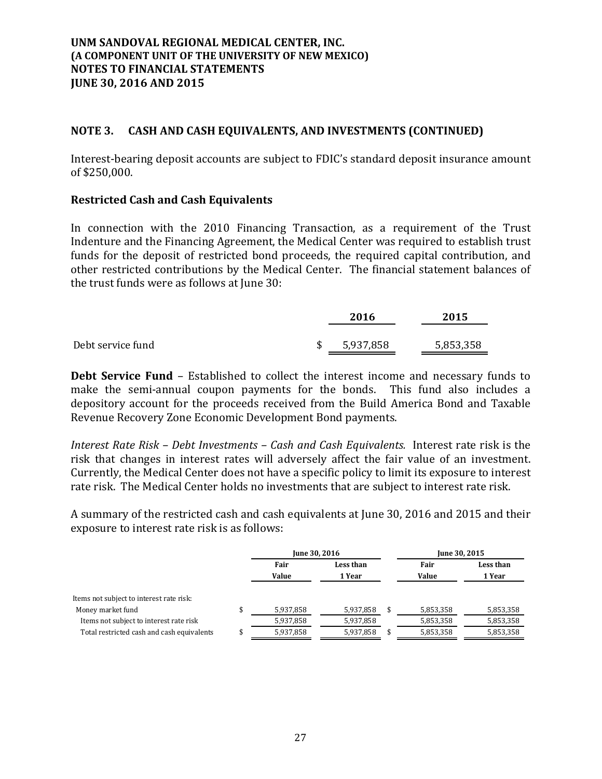### **NOTE 3. CASH AND CASH EQUIVALENTS, AND INVESTMENTS (CONTINUED)**

Interest-bearing deposit accounts are subject to FDIC's standard deposit insurance amount of \$250,000. 

### **Restricted Cash and Cash Equivalents**

In connection with the 2010 Financing Transaction, as a requirement of the Trust Indenture and the Financing Agreement, the Medical Center was required to establish trust funds for the deposit of restricted bond proceeds, the required capital contribution, and other restricted contributions by the Medical Center. The financial statement balances of the trust funds were as follows at lune 30:

|                   | 2016            | 2015      |
|-------------------|-----------------|-----------|
| Debt service fund | \$<br>5,937,858 | 5,853,358 |

**Debt Service Fund** – Established to collect the interest income and necessary funds to make the semi-annual coupon payments for the bonds. This fund also includes a depository account for the proceeds received from the Build America Bond and Taxable Revenue Recovery Zone Economic Development Bond payments.

*Interest Rate Risk – Debt Investments – Cash and Cash Equivalents.* Interest rate risk is the risk that changes in interest rates will adversely affect the fair value of an investment. Currently, the Medical Center does not have a specific policy to limit its exposure to interest rate risk. The Medical Center holds no investments that are subject to interest rate risk.

A summary of the restricted cash and cash equivalents at June 30, 2016 and 2015 and their exposure to interest rate risk is as follows:

|                                            | June 30, 2016 |           |    | June 30, 2015 |           |  |
|--------------------------------------------|---------------|-----------|----|---------------|-----------|--|
|                                            | Fair          | Less than |    | Fair          | Less than |  |
|                                            | Value         | 1 Year    |    | Value         | 1 Year    |  |
| Items not subject to interest rate risk:   |               |           |    |               |           |  |
| Money market fund                          | 5,937,858     | 5,937,858 | \$ | 5,853,358     | 5,853,358 |  |
| Items not subject to interest rate risk    | 5,937,858     | 5,937,858 |    | 5,853,358     | 5,853,358 |  |
| Total restricted cash and cash equivalents | 5,937,858     | 5,937,858 | \$ | 5,853,358     | 5,853,358 |  |
|                                            |               |           |    |               |           |  |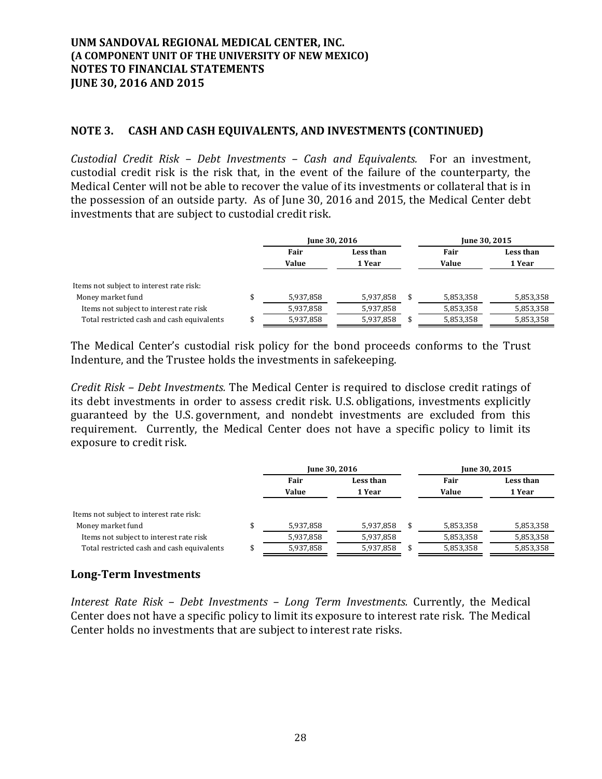## **NOTE 3. CASH AND CASH EQUIVALENTS, AND INVESTMENTS (CONTINUED)**

*Custodial Credit Risk – Debt Investments – Cash and Equivalents.*  For an investment, custodial credit risk is the risk that, in the event of the failure of the counterparty, the Medical Center will not be able to recover the value of its investments or collateral that is in the possession of an outside party. As of June 30, 2016 and 2015, the Medical Center debt investments that are subject to custodial credit risk.

|                                                              | June 30, 2016          |                        |  | June 30, 2015          |                        |  |
|--------------------------------------------------------------|------------------------|------------------------|--|------------------------|------------------------|--|
|                                                              | Fair<br><b>Value</b>   | Less than<br>1 Year    |  | Fair<br>Value          | Less than<br>1 Year    |  |
| Items not subject to interest rate risk:                     |                        |                        |  |                        |                        |  |
| Money market fund<br>Items not subject to interest rate risk | 5,937,858<br>5,937,858 | 5,937,858<br>5,937,858 |  | 5,853,358<br>5,853,358 | 5,853,358<br>5,853,358 |  |
| Total restricted cash and cash equivalents                   | 5,937,858              | 5,937,858              |  | 5,853,358              | 5,853,358              |  |

The Medical Center's custodial risk policy for the bond proceeds conforms to the Trust Indenture, and the Trustee holds the investments in safekeeping.

*Credit Risk – Debt Investments.* The Medical Center is required to disclose credit ratings of its debt investments in order to assess credit risk. U.S. obligations, investments explicitly guaranteed by the U.S. government, and nondebt investments are excluded from this requirement. Currently, the Medical Center does not have a specific policy to limit its exposure to credit risk.

|                                            | June 30, 2016 |           |    | June 30, 2015 |           |  |
|--------------------------------------------|---------------|-----------|----|---------------|-----------|--|
|                                            | Fair          | Less than |    | Fair          | Less than |  |
|                                            | <b>Value</b>  | 1 Year    |    | <b>Value</b>  | 1 Year    |  |
| Items not subject to interest rate risk:   |               |           |    |               |           |  |
| Money market fund                          | 5,937,858     | 5,937,858 | \$ | 5,853,358     | 5,853,358 |  |
| Items not subject to interest rate risk    | 5,937,858     | 5,937,858 |    | 5,853,358     | 5,853,358 |  |
| Total restricted cash and cash equivalents | 5,937,858     | 5,937,858 | -S | 5,853,358     | 5,853,358 |  |
|                                            |               |           |    |               |           |  |

### **Long‐Term Investments**

*Interest Rate Risk – Debt Investments – Long Term Investments.* Currently, the Medical Center does not have a specific policy to limit its exposure to interest rate risk. The Medical Center holds no investments that are subject to interest rate risks.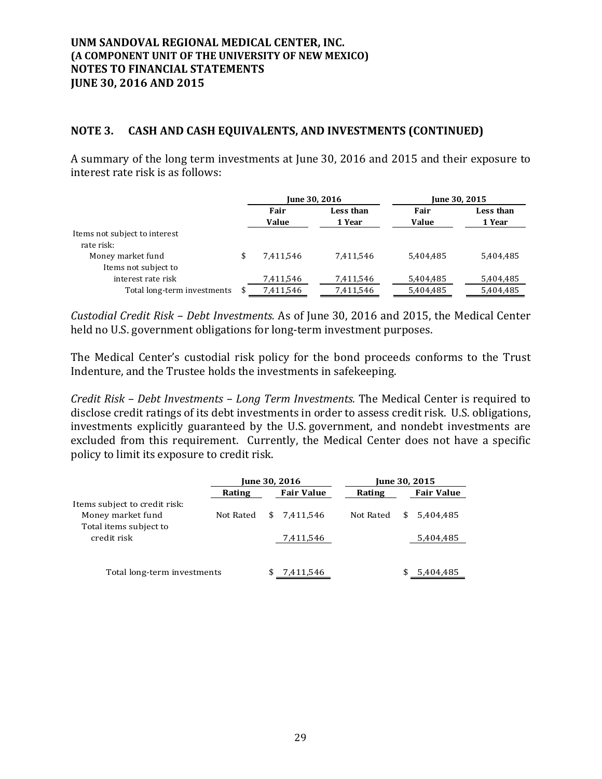## **NOTE 3. CASH AND CASH EQUIVALENTS, AND INVESTMENTS (CONTINUED)**

A summary of the long term investments at June 30, 2016 and 2015 and their exposure to interest rate risk is as follows:

|                               | June 30, 2016   |           | June 30, 2015 |           |
|-------------------------------|-----------------|-----------|---------------|-----------|
|                               | Fair            | Less than | Fair          | Less than |
|                               | Value           | 1 Year    | <b>Value</b>  | 1 Year    |
| Items not subject to interest |                 |           |               |           |
| rate risk:                    |                 |           |               |           |
| Money market fund             | \$<br>7.411.546 | 7.411.546 | 5.404.485     | 5.404.485 |
| Items not subject to          |                 |           |               |           |
| interest rate risk            | 7,411,546       | 7,411,546 | 5,404,485     | 5,404,485 |
| Total long-term investments   | 7,411,546       | 7,411,546 | 5,404,485     | 5,404,485 |

*Custodial Credit Risk – Debt Investments.* As of June 30, 2016 and 2015, the Medical Center held no U.S. government obligations for long-term investment purposes.

The Medical Center's custodial risk policy for the bond proceeds conforms to the Trust Indenture, and the Trustee holds the investments in safekeeping.

*Credit Risk – Debt Investments – Long Term Investments.* The Medical Center is required to disclose credit ratings of its debt investments in order to assess credit risk. U.S. obligations, investments explicitly guaranteed by the U.S. government, and nondebt investments are excluded from this requirement. Currently, the Medical Center does not have a specific policy to limit its exposure to credit risk.

|                               |           | <b>June 30, 2016</b> |           | <b>June 30, 2015</b> |
|-------------------------------|-----------|----------------------|-----------|----------------------|
|                               | Rating    | <b>Fair Value</b>    | Rating    | <b>Fair Value</b>    |
| Items subject to credit risk: |           |                      |           |                      |
| Money market fund             | Not Rated | \$7.411.546          | Not Rated | \$<br>5.404.485      |
| Total items subject to        |           |                      |           |                      |
| credit risk                   |           | 7,411,546            |           | 5,404,485            |
|                               |           |                      |           |                      |
|                               |           |                      |           |                      |
| Total long-term investments   |           | 7,411,546            |           | 5,404,485            |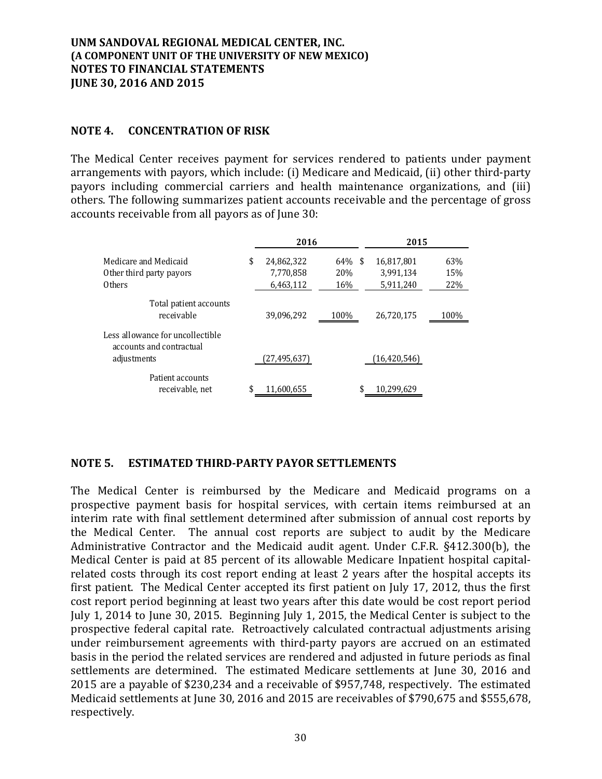### **NOTE 4. CONCENTRATION OF RISK**

The Medical Center receives payment for services rendered to patients under payment arrangements with payors, which include: (i) Medicare and Medicaid, (ii) other third-party payors including commercial carriers and health maintenance organizations, and (iii) others. The following summarizes patient accounts receivable and the percentage of gross accounts receivable from all payors as of June 30:

|                                                                             | 2016             |           | 2015         |      |
|-----------------------------------------------------------------------------|------------------|-----------|--------------|------|
| Medicare and Medicaid                                                       | \$<br>24,862,322 | $64\%$ \$ | 16,817,801   | 63%  |
| Other third party payors                                                    | 7,770,858        | 20%       | 3.991.134    | 15%  |
| Others                                                                      | 6.463.112        | 16%       | 5,911,240    | 22%  |
| Total patient accounts<br>receivable                                        | 39,096,292       | 100%      | 26.720.175   | 100% |
| Less allowance for uncollectible<br>accounts and contractual<br>adjustments | (27,495,637)     |           | (16,420,546) |      |
| Patient accounts<br>receivable, net                                         | \$<br>11,600,655 |           | 10,299,629   |      |

### **NOTE 5. ESTIMATED THIRD‐PARTY PAYOR SETTLEMENTS**

The Medical Center is reimbursed by the Medicare and Medicaid programs on a prospective payment basis for hospital services, with certain items reimbursed at an interim rate with final settlement determined after submission of annual cost reports by the Medical Center. The annual cost reports are subject to audit by the Medicare Administrative Contractor and the Medicaid audit agent. Under C.F.R. §412.300(b), the Medical Center is paid at 85 percent of its allowable Medicare Inpatient hospital capitalrelated costs through its cost report ending at least 2 years after the hospital accepts its first patient. The Medical Center accepted its first patient on July 17, 2012, thus the first cost report period beginning at least two years after this date would be cost report period July 1, 2014 to June 30, 2015. Beginning July 1, 2015, the Medical Center is subject to the prospective federal capital rate. Retroactively calculated contractual adjustments arising under reimbursement agreements with third-party payors are accrued on an estimated basis in the period the related services are rendered and adjusted in future periods as final settlements are determined. The estimated Medicare settlements at June 30, 2016 and 2015 are a payable of \$230,234 and a receivable of \$957,748, respectively. The estimated Medicaid settlements at June 30, 2016 and 2015 are receivables of \$790,675 and \$555,678, respectively.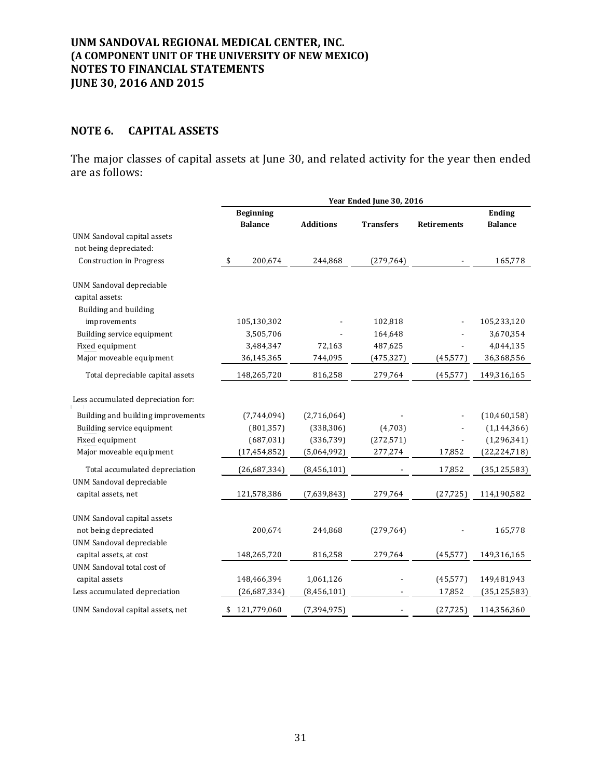## **NOTE 6. CAPITAL ASSETS**

The major classes of capital assets at June 30, and related activity for the year then ended are as follows:

|                                    | Year Ended June 30, 2016 |                  |                  |                  |                    |                |
|------------------------------------|--------------------------|------------------|------------------|------------------|--------------------|----------------|
|                                    |                          | <b>Beginning</b> |                  |                  |                    | <b>Ending</b>  |
|                                    |                          | <b>Balance</b>   | <b>Additions</b> | <b>Transfers</b> | <b>Retirements</b> | <b>Balance</b> |
| UNM Sandoval capital assets        |                          |                  |                  |                  |                    |                |
| not being depreciated:             |                          |                  |                  |                  |                    |                |
| <b>Construction in Progress</b>    | \$                       | 200,674          | 244,868          | (279, 764)       |                    | 165,778        |
| <b>UNM Sandoval depreciable</b>    |                          |                  |                  |                  |                    |                |
| capital assets:                    |                          |                  |                  |                  |                    |                |
| Building and building              |                          |                  |                  |                  |                    |                |
| improvements                       |                          | 105,130,302      |                  | 102,818          |                    | 105,233,120    |
| Building service equipment         |                          | 3,505,706        |                  | 164,648          |                    | 3,670,354      |
| Fixed equipment                    |                          | 3,484,347        | 72,163           | 487,625          |                    | 4,044,135      |
| Major moveable equipment           |                          | 36,145,365       | 744,095          | (475, 327)       | (45, 577)          | 36,368,556     |
| Total depreciable capital assets   |                          | 148,265,720      | 816,258          | 279,764          | (45, 577)          | 149,316,165    |
| Less accumulated depreciation for: |                          |                  |                  |                  |                    |                |
| Building and building improvements |                          | (7,744,094)      | (2,716,064)      |                  |                    | (10,460,158)   |
| Building service equipment         |                          | (801, 357)       | (338, 306)       | (4,703)          |                    | (1, 144, 366)  |
| Fixed equipment                    |                          | (687,031)        | (336, 739)       | (272, 571)       |                    | (1,296,341)    |
| Major moveable equipment           |                          | (17, 454, 852)   | (5,064,992)      | 277,274          | 17,852             | (22, 224, 718) |
| Total accumulated depreciation     |                          | (26,687,334)     | (8,456,101)      |                  | 17,852             | (35, 125, 583) |
| UNM Sandoval depreciable           |                          |                  |                  |                  |                    |                |
| capital assets, net                |                          | 121,578,386      | (7,639,843)      | 279,764          | (27, 725)          | 114,190,582    |
| <b>UNM Sandoval capital assets</b> |                          |                  |                  |                  |                    |                |
| not being depreciated              |                          | 200,674          | 244,868          | (279, 764)       |                    | 165,778        |
| <b>UNM Sandoval depreciable</b>    |                          |                  |                  |                  |                    |                |
| capital assets, at cost            |                          | 148,265,720      | 816,258          | 279,764          | (45, 577)          | 149,316,165    |
| UNM Sandoval total cost of         |                          |                  |                  |                  |                    |                |
| capital assets                     |                          | 148,466,394      | 1,061,126        |                  | (45, 577)          | 149,481,943    |
| Less accumulated depreciation      |                          | (26,687,334)     | (8,456,101)      |                  | 17,852             | (35, 125, 583) |
| UNM Sandoval capital assets, net   | \$                       | 121,779,060      | (7, 394, 975)    |                  | (27, 725)          | 114,356,360    |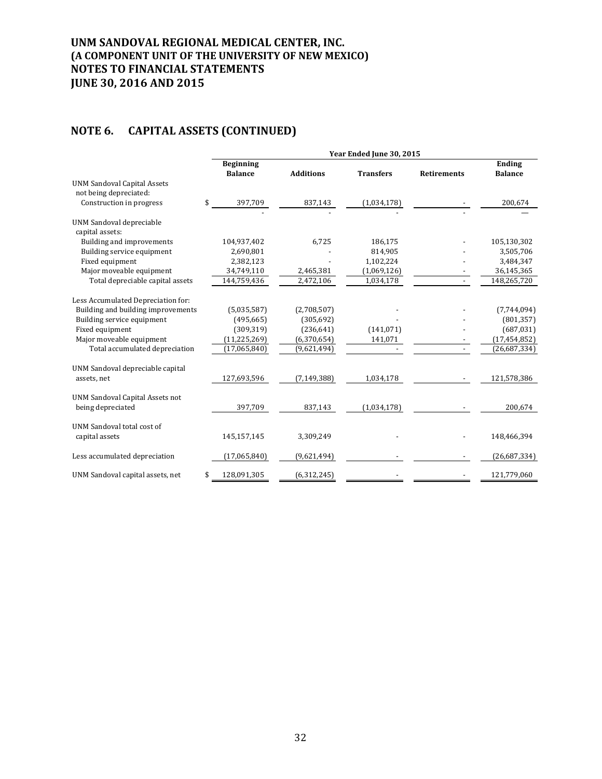## **NOTE 6. CAPITAL ASSETS (CONTINUED)**

|                                        |                  |                  |                  | Year Ended June 30, 2015 |                |
|----------------------------------------|------------------|------------------|------------------|--------------------------|----------------|
|                                        | <b>Beginning</b> |                  |                  |                          | Ending         |
|                                        | <b>Balance</b>   | <b>Additions</b> | <b>Transfers</b> | <b>Retirements</b>       | <b>Balance</b> |
| <b>UNM Sandoval Capital Assets</b>     |                  |                  |                  |                          |                |
| not being depreciated:                 |                  |                  |                  |                          |                |
| \$<br>Construction in progress         | 397,709          | 837,143          | (1,034,178)      |                          | 200,674        |
|                                        |                  |                  |                  |                          |                |
| <b>UNM Sandoval depreciable</b>        |                  |                  |                  |                          |                |
| capital assets:                        |                  |                  |                  |                          |                |
| Building and improvements              | 104,937,402      | 6,725            | 186,175          |                          | 105,130,302    |
| Building service equipment             | 2,690,801        |                  | 814,905          |                          | 3,505,706      |
| Fixed equipment                        | 2,382,123        |                  | 1,102,224        |                          | 3,484,347      |
| Major moveable equipment               | 34,749,110       | 2,465,381        | (1,069,126)      |                          | 36,145,365     |
| Total depreciable capital assets       | 144,759,436      | 2,472,106        | 1,034,178        |                          | 148,265,720    |
| Less Accumulated Depreciation for:     |                  |                  |                  |                          |                |
| Building and building improvements     | (5,035,587)      | (2,708,507)      |                  |                          | (7,744,094)    |
| Building service equipment             | (495, 665)       | (305, 692)       |                  |                          | (801, 357)     |
| Fixed equipment                        | (309, 319)       | (236, 641)       | (141, 071)       |                          | (687, 031)     |
| Major moveable equipment               | (11, 225, 269)   | (6,370,654)      | 141,071          |                          | (17, 454, 852) |
| Total accumulated depreciation         | (17,065,840)     | (9,621,494)      |                  |                          | (26,687,334)   |
| UNM Sandoval depreciable capital       |                  |                  |                  |                          |                |
| assets, net                            | 127,693,596      | (7, 149, 388)    | 1,034,178        |                          | 121,578,386    |
| <b>UNM Sandoval Capital Assets not</b> |                  |                  |                  |                          |                |
| being depreciated                      | 397,709          | 837,143          | (1,034,178)      |                          | 200,674        |
| UNM Sandoval total cost of             |                  |                  |                  |                          |                |
| capital assets                         | 145,157,145      | 3,309,249        |                  |                          | 148,466,394    |
| Less accumulated depreciation          | (17,065,840)     | (9,621,494)      |                  |                          | (26,687,334)   |
| UNM Sandoval capital assets, net       | 128,091,305      | (6,312,245)      |                  |                          | 121,779,060    |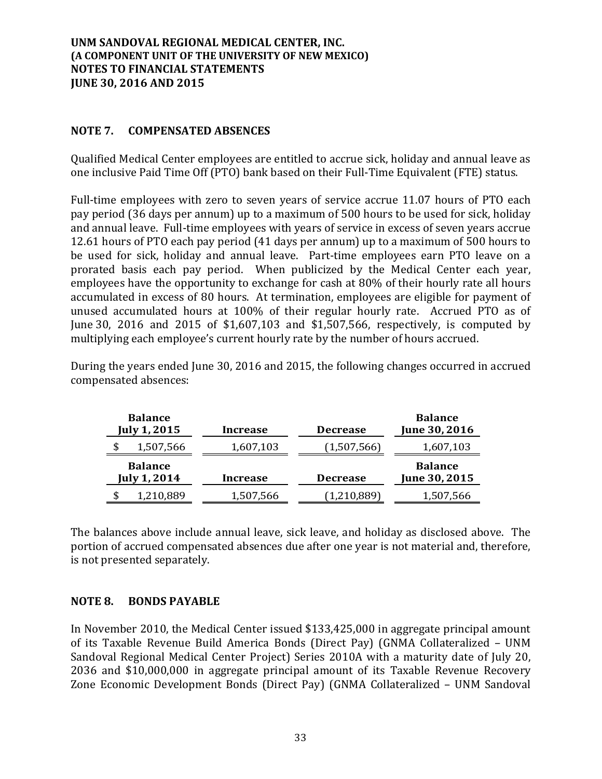## **NOTE 7. COMPENSATED ABSENCES**

Qualified Medical Center employees are entitled to accrue sick, holiday and annual leave as one inclusive Paid Time Off (PTO) bank based on their Full-Time Equivalent (FTE) status.

Full-time employees with zero to seven years of service accrue 11.07 hours of PTO each pay period (36 days per annum) up to a maximum of 500 hours to be used for sick, holiday and annual leave. Full-time employees with years of service in excess of seven years accrue 12.61 hours of PTO each pay period (41 days per annum) up to a maximum of 500 hours to be used for sick, holiday and annual leave. Part-time employees earn PTO leave on a prorated basis each pay period. When publicized by the Medical Center each year, employees have the opportunity to exchange for cash at 80% of their hourly rate all hours accumulated in excess of 80 hours. At termination, employees are eligible for payment of unused accumulated hours at 100% of their regular hourly rate. Accrued PTO as of June 30, 2016 and 2015 of  $$1,607,103$  and  $$1,507,566$ , respectively, is computed by multiplying each employee's current hourly rate by the number of hours accrued.

During the years ended June 30, 2016 and 2015, the following changes occurred in accrued compensated absences:

|                                       | <b>Balance</b><br><b>July 1, 2015</b> | Increase  | <b>Decrease</b> | <b>Balance</b><br>June 30, 2016 |
|---------------------------------------|---------------------------------------|-----------|-----------------|---------------------------------|
|                                       | 1,507,566                             | 1,607,103 | (1,507,566)     | 1,607,103                       |
| <b>Balance</b><br><b>July 1, 2014</b> |                                       | Increase  | <b>Decrease</b> | <b>Balance</b><br>June 30, 2015 |
|                                       | 1,210,889                             | 1,507,566 | (1,210,889)     | 1,507,566                       |

The balances above include annual leave, sick leave, and holiday as disclosed above. The portion of accrued compensated absences due after one year is not material and, therefore, is not presented separately.

### **NOTE 8. BONDS PAYABLE**

In November 2010, the Medical Center issued  $$133,425,000$  in aggregate principal amount of its Taxable Revenue Build America Bonds (Direct Pay) (GNMA Collateralized - UNM Sandoval Regional Medical Center Project) Series 2010A with a maturity date of July 20, 2036 and \$10,000,000 in aggregate principal amount of its Taxable Revenue Recovery Zone Economic Development Bonds (Direct Pay) (GNMA Collateralized – UNM Sandoval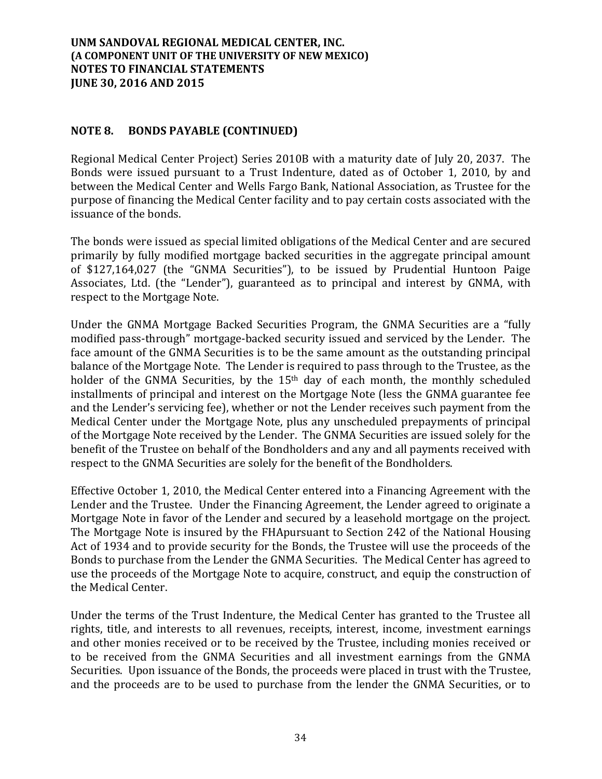## **NOTE 8. BONDS PAYABLE (CONTINUED)**

Regional Medical Center Project) Series 2010B with a maturity date of July 20, 2037. The Bonds were issued pursuant to a Trust Indenture, dated as of October 1, 2010, by and between the Medical Center and Wells Fargo Bank, National Association, as Trustee for the purpose of financing the Medical Center facility and to pay certain costs associated with the issuance of the bonds.

The bonds were issued as special limited obligations of the Medical Center and are secured primarily by fully modified mortgage backed securities in the aggregate principal amount of \$127,164,027 (the "GNMA Securities"), to be issued by Prudential Huntoon Paige Associates, Ltd. (the "Lender"), guaranteed as to principal and interest by GNMA, with respect to the Mortgage Note.

Under the GNMA Mortgage Backed Securities Program, the GNMA Securities are a "fully modified pass-through" mortgage-backed security issued and serviced by the Lender. The face amount of the GNMA Securities is to be the same amount as the outstanding principal balance of the Mortgage Note. The Lender is required to pass through to the Trustee, as the holder of the GNMA Securities, by the  $15<sup>th</sup>$  day of each month, the monthly scheduled installments of principal and interest on the Mortgage Note (less the GNMA guarantee fee and the Lender's servicing fee), whether or not the Lender receives such payment from the Medical Center under the Mortgage Note, plus any unscheduled prepayments of principal of the Mortgage Note received by the Lender. The GNMA Securities are issued solely for the benefit of the Trustee on behalf of the Bondholders and any and all payments received with respect to the GNMA Securities are solely for the benefit of the Bondholders.

Effective October 1, 2010, the Medical Center entered into a Financing Agreement with the Lender and the Trustee. Under the Financing Agreement, the Lender agreed to originate a Mortgage Note in favor of the Lender and secured by a leasehold mortgage on the project. The Mortgage Note is insured by the FHApursuant to Section 242 of the National Housing Act of 1934 and to provide security for the Bonds, the Trustee will use the proceeds of the Bonds to purchase from the Lender the GNMA Securities. The Medical Center has agreed to use the proceeds of the Mortgage Note to acquire, construct, and equip the construction of the Medical Center.

Under the terms of the Trust Indenture, the Medical Center has granted to the Trustee all rights, title, and interests to all revenues, receipts, interest, income, investment earnings and other monies received or to be received by the Trustee, including monies received or to be received from the GNMA Securities and all investment earnings from the GNMA Securities. Upon issuance of the Bonds, the proceeds were placed in trust with the Trustee, and the proceeds are to be used to purchase from the lender the GNMA Securities, or to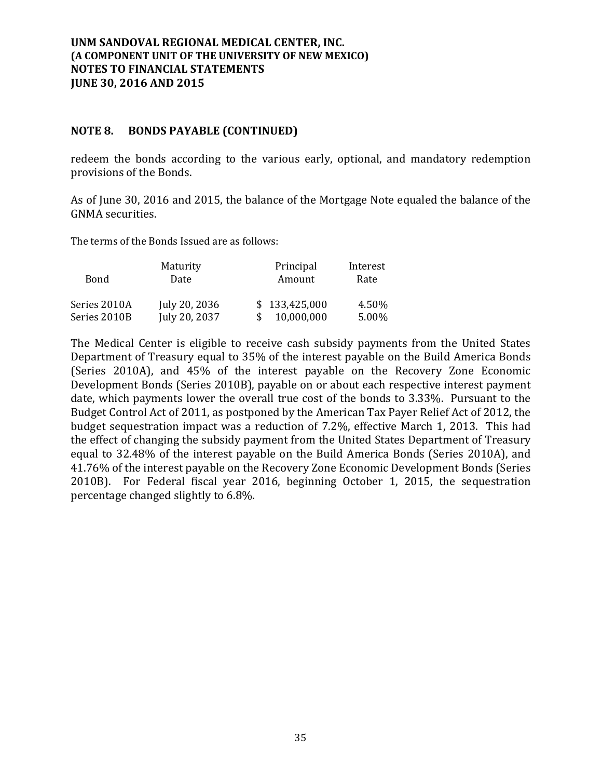### **NOTE 8. BONDS PAYABLE (CONTINUED)**

redeem the bonds according to the various early, optional, and mandatory redemption provisions of the Bonds.

As of June 30, 2016 and 2015, the balance of the Mortgage Note equaled the balance of the GNMA securities.

The terms of the Bonds Issued are as follows:

| Bond         | Maturity      | Principal     | Interest |
|--------------|---------------|---------------|----------|
|              | Date          | Amount        | Rate     |
| Series 2010A | July 20, 2036 | \$133,425,000 | 4.50%    |
| Series 2010B | July 20, 2037 | 10,000,000    | 5.00%    |

The Medical Center is eligible to receive cash subsidy payments from the United States Department of Treasury equal to 35% of the interest payable on the Build America Bonds (Series 2010A), and 45% of the interest payable on the Recovery Zone Economic Development Bonds (Series 2010B), payable on or about each respective interest payment date, which payments lower the overall true cost of the bonds to 3.33%. Pursuant to the Budget Control Act of 2011, as postponed by the American Tax Payer Relief Act of 2012, the budget sequestration impact was a reduction of 7.2%, effective March 1, 2013. This had the effect of changing the subsidy payment from the United States Department of Treasury equal to 32.48% of the interest payable on the Build America Bonds (Series 2010A), and 41.76% of the interest payable on the Recovery Zone Economic Development Bonds (Series 2010B). For Federal fiscal year 2016, beginning October 1, 2015, the sequestration percentage changed slightly to  $6.8\%$ .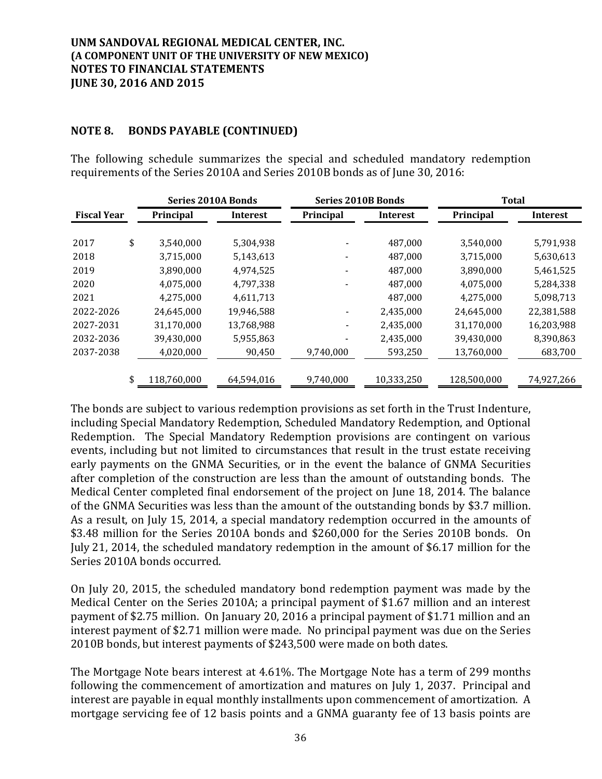### **NOTE 8. BONDS PAYABLE (CONTINUED)**

The following schedule summarizes the special and scheduled mandatory redemption requirements of the Series 2010A and Series 2010B bonds as of June 30, 2016:

|                    |    | <b>Series 2010A Bonds</b> |            | <b>Series 2010B Bonds</b> |            | <b>Total</b> |                 |
|--------------------|----|---------------------------|------------|---------------------------|------------|--------------|-----------------|
| <b>Fiscal Year</b> |    | Principal                 | Interest   | Principal                 | Interest   | Principal    | <b>Interest</b> |
|                    |    |                           |            |                           |            |              |                 |
| 2017               | \$ | 3,540,000                 | 5,304,938  |                           | 487,000    | 3,540,000    | 5,791,938       |
| 2018               |    | 3,715,000                 | 5,143,613  |                           | 487,000    | 3,715,000    | 5,630,613       |
| 2019               |    | 3,890,000                 | 4,974,525  |                           | 487.000    | 3,890,000    | 5,461,525       |
| 2020               |    | 4,075,000                 | 4,797,338  |                           | 487,000    | 4,075,000    | 5,284,338       |
| 2021               |    | 4,275,000                 | 4,611,713  |                           | 487,000    | 4,275,000    | 5,098,713       |
| 2022-2026          |    | 24,645,000                | 19,946,588 |                           | 2,435,000  | 24,645,000   | 22,381,588      |
| 2027-2031          |    | 31,170,000                | 13,768,988 |                           | 2,435,000  | 31,170,000   | 16,203,988      |
| 2032-2036          |    | 39,430,000                | 5,955,863  |                           | 2,435,000  | 39,430,000   | 8,390,863       |
| 2037-2038          |    | 4,020,000                 | 90,450     | 9,740,000                 | 593,250    | 13,760,000   | 683,700         |
|                    |    |                           |            |                           |            |              |                 |
|                    | \$ | 118,760,000               | 64,594,016 | 9,740,000                 | 10,333,250 | 128,500,000  | 74,927,266      |

The bonds are subject to various redemption provisions as set forth in the Trust Indenture, including Special Mandatory Redemption, Scheduled Mandatory Redemption, and Optional Redemption. The Special Mandatory Redemption provisions are contingent on various events, including but not limited to circumstances that result in the trust estate receiving early payments on the GNMA Securities, or in the event the balance of GNMA Securities after completion of the construction are less than the amount of outstanding bonds. The Medical Center completed final endorsement of the project on June 18, 2014. The balance of the GNMA Securities was less than the amount of the outstanding bonds by \$3.7 million. As a result, on July 15, 2014, a special mandatory redemption occurred in the amounts of \$3.48 million for the Series 2010A bonds and \$260,000 for the Series 2010B bonds. On July 21, 2014, the scheduled mandatory redemption in the amount of \$6.17 million for the Series 2010A bonds occurred.

On July 20, 2015, the scheduled mandatory bond redemption payment was made by the Medical Center on the Series 2010A; a principal payment of \$1.67 million and an interest payment of \$2.75 million. On January 20, 2016 a principal payment of \$1.71 million and an interest payment of \$2.71 million were made. No principal payment was due on the Series 2010B bonds, but interest payments of \$243,500 were made on both dates.

The Mortgage Note bears interest at 4.61%. The Mortgage Note has a term of 299 months following the commencement of amortization and matures on July 1, 2037. Principal and interest are payable in equal monthly installments upon commencement of amortization. A mortgage servicing fee of 12 basis points and a GNMA guaranty fee of 13 basis points are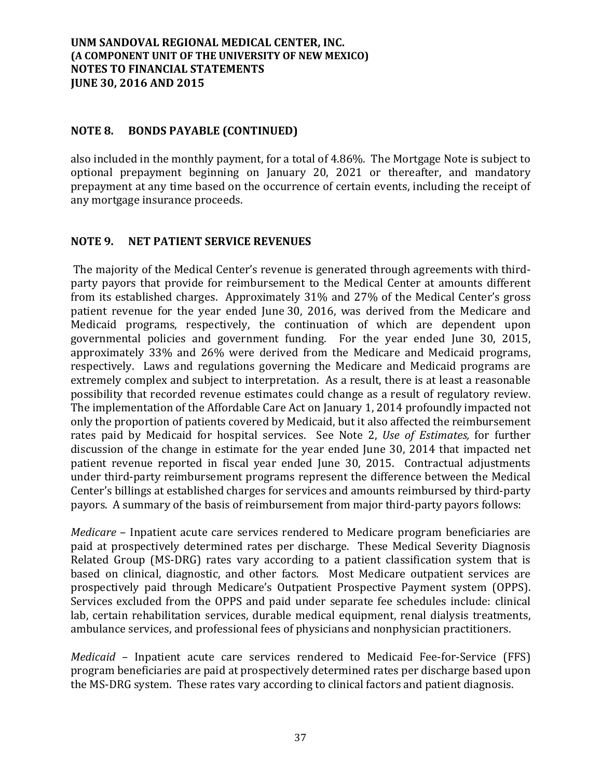### **NOTE 8. BONDS PAYABLE (CONTINUED)**

also included in the monthly payment, for a total of  $4.86\%$ . The Mortgage Note is subject to optional prepayment beginning on January 20, 2021 or thereafter, and mandatory prepayment at any time based on the occurrence of certain events, including the receipt of any mortgage insurance proceeds.

### **NOTE 9. NET PATIENT SERVICE REVENUES**

The majority of the Medical Center's revenue is generated through agreements with thirdparty payors that provide for reimbursement to the Medical Center at amounts different from its established charges. Approximately 31% and 27% of the Medical Center's gross patient revenue for the year ended June 30, 2016, was derived from the Medicare and Medicaid programs, respectively, the continuation of which are dependent upon governmental policies and government funding. For the year ended June 30, 2015, approximately 33% and 26% were derived from the Medicare and Medicaid programs, respectively. Laws and regulations governing the Medicare and Medicaid programs are extremely complex and subject to interpretation. As a result, there is at least a reasonable possibility that recorded revenue estimates could change as a result of regulatory review. The implementation of the Affordable Care Act on January 1, 2014 profoundly impacted not only the proportion of patients covered by Medicaid, but it also affected the reimbursement rates paid by Medicaid for hospital services. See Note 2, *Use of Estimates*, for further discussion of the change in estimate for the year ended June 30, 2014 that impacted net patient revenue reported in fiscal year ended June 30, 2015. Contractual adjustments under third-party reimbursement programs represent the difference between the Medical Center's billings at established charges for services and amounts reimbursed by third-party payors. A summary of the basis of reimbursement from major third-party payors follows:

*Medicare* – Inpatient acute care services rendered to Medicare program beneficiaries are paid at prospectively determined rates per discharge. These Medical Severity Diagnosis Related Group (MS-DRG) rates vary according to a patient classification system that is based on clinical, diagnostic, and other factors. Most Medicare outpatient services are prospectively paid through Medicare's Outpatient Prospective Payment system (OPPS). Services excluded from the OPPS and paid under separate fee schedules include: clinical lab, certain rehabilitation services, durable medical equipment, renal dialysis treatments, ambulance services, and professional fees of physicians and nonphysician practitioners.

*Medicaid* – Inpatient acute care services rendered to Medicaid Fee-for-Service (FFS) program beneficiaries are paid at prospectively determined rates per discharge based upon the MS-DRG system. These rates vary according to clinical factors and patient diagnosis.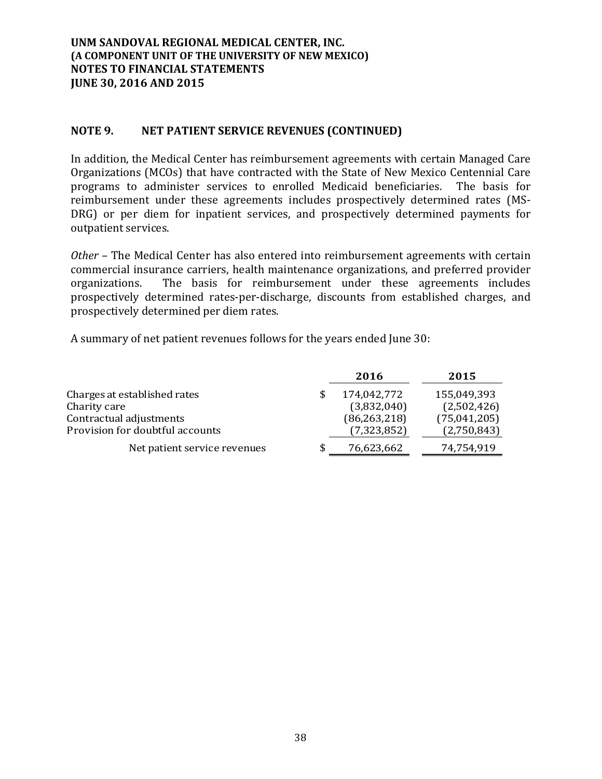## **NOTE 9. NET PATIENT SERVICE REVENUES (CONTINUED)**

In addition, the Medical Center has reimbursement agreements with certain Managed Care Organizations (MCOs) that have contracted with the State of New Mexico Centennial Care programs to administer services to enrolled Medicaid beneficiaries. The basis for reimbursement under these agreements includes prospectively determined rates (MS-DRG) or per diem for inpatient services, and prospectively determined payments for outpatient services.

*Other* – The Medical Center has also entered into reimbursement agreements with certain commercial insurance carriers, health maintenance organizations, and preferred provider organizations. The basis for reimbursement under these agreements includes prospectively determined rates-per-discharge, discounts from established charges, and prospectively determined per diem rates.

A summary of net patient revenues follows for the years ended June 30:

|                                 | 2016           | 2015         |
|---------------------------------|----------------|--------------|
| Charges at established rates    | 174,042,772    | 155,049,393  |
| Charity care                    | (3,832,040)    | (2,502,426)  |
| Contractual adjustments         | (86, 263, 218) | (75,041,205) |
| Provision for doubtful accounts | (7,323,852)    | (2,750,843)  |
| Net patient service revenues    | 76,623,662     | 74,754,919   |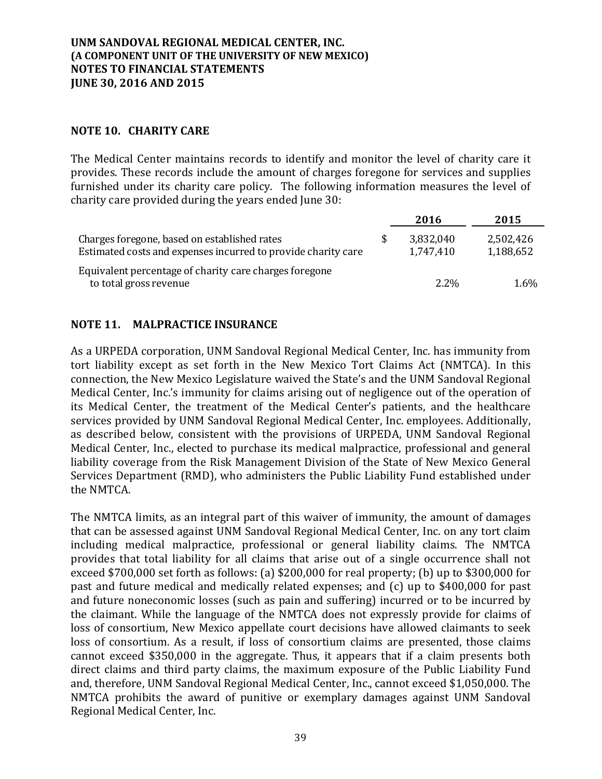### **NOTE 10. CHARITY CARE**

The Medical Center maintains records to identify and monitor the level of charity care it provides. These records include the amount of charges foregone for services and supplies furnished under its charity care policy. The following information measures the level of charity care provided during the years ended June 30:

|                                                                                                               | 2016                   | 2015                   |
|---------------------------------------------------------------------------------------------------------------|------------------------|------------------------|
| Charges foregone, based on established rates<br>Estimated costs and expenses incurred to provide charity care | 3,832,040<br>1,747,410 | 2,502,426<br>1,188,652 |
| Equivalent percentage of charity care charges foregone<br>to total gross revenue                              | $2.2\%$                | $1.6\%$                |

### **NOTE 11. MALPRACTICE INSURANCE**

As a URPEDA corporation, UNM Sandoval Regional Medical Center, Inc. has immunity from tort liability except as set forth in the New Mexico Tort Claims Act (NMTCA). In this connection, the New Mexico Legislature waived the State's and the UNM Sandoval Regional Medical Center, Inc.'s immunity for claims arising out of negligence out of the operation of its Medical Center, the treatment of the Medical Center's patients, and the healthcare services provided by UNM Sandoval Regional Medical Center, Inc. employees. Additionally, as described below, consistent with the provisions of URPEDA, UNM Sandoval Regional Medical Center, Inc., elected to purchase its medical malpractice, professional and general liability coverage from the Risk Management Division of the State of New Mexico General Services Department (RMD), who administers the Public Liability Fund established under the NMTCA.

The NMTCA limits, as an integral part of this waiver of immunity, the amount of damages that can be assessed against UNM Sandoval Regional Medical Center, Inc. on any tort claim including medical malpractice, professional or general liability claims. The NMTCA provides that total liability for all claims that arise out of a single occurrence shall not exceed  $$700,000$  set forth as follows: (a)  $$200,000$  for real property; (b) up to  $$300,000$  for past and future medical and medically related expenses; and (c) up to \$400,000 for past and future noneconomic losses (such as pain and suffering) incurred or to be incurred by the claimant. While the language of the NMTCA does not expressly provide for claims of loss of consortium, New Mexico appellate court decisions have allowed claimants to seek loss of consortium. As a result, if loss of consortium claims are presented, those claims cannot exceed \$350,000 in the aggregate. Thus, it appears that if a claim presents both direct claims and third party claims, the maximum exposure of the Public Liability Fund and, therefore, UNM Sandoval Regional Medical Center, Inc., cannot exceed \$1,050,000. The NMTCA prohibits the award of punitive or exemplary damages against UNM Sandoval Regional Medical Center, Inc.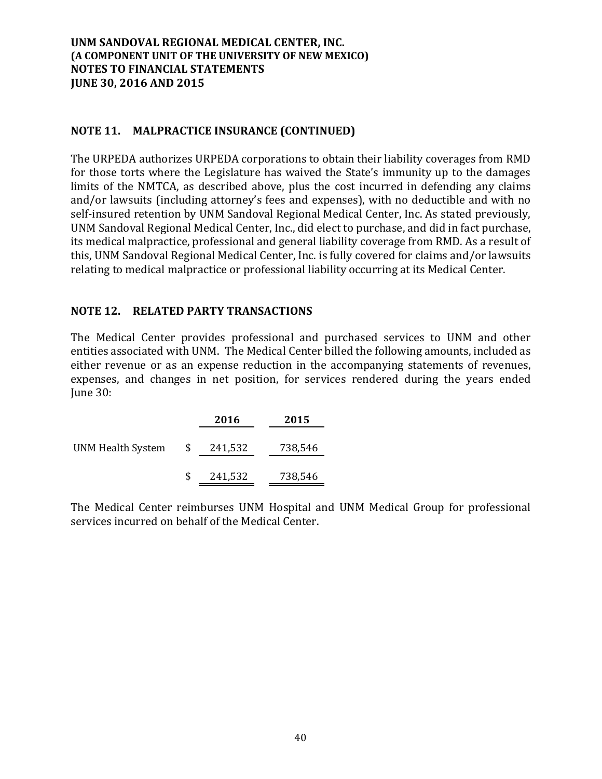### **NOTE 11. MALPRACTICE INSURANCE (CONTINUED)**

The URPEDA authorizes URPEDA corporations to obtain their liability coverages from RMD for those torts where the Legislature has waived the State's immunity up to the damages limits of the NMTCA, as described above, plus the cost incurred in defending any claims and/or lawsuits (including attorney's fees and expenses), with no deductible and with no self-insured retention by UNM Sandoval Regional Medical Center, Inc. As stated previously, UNM Sandoval Regional Medical Center, Inc., did elect to purchase, and did in fact purchase, its medical malpractice, professional and general liability coverage from RMD. As a result of this, UNM Sandoval Regional Medical Center, Inc. is fully covered for claims and/or lawsuits relating to medical malpractice or professional liability occurring at its Medical Center.

### **NOTE 12. RELATED PARTY TRANSACTIONS**

The Medical Center provides professional and purchased services to UNM and other entities associated with UNM. The Medical Center billed the following amounts, included as either revenue or as an expense reduction in the accompanying statements of revenues, expenses, and changes in net position, for services rendered during the years ended June 30:

|                          |     | 2016    | 2015    |
|--------------------------|-----|---------|---------|
| <b>UNM Health System</b> | \$  | 241,532 | 738,546 |
|                          | \$. | 241,532 | 738,546 |

The Medical Center reimburses UNM Hospital and UNM Medical Group for professional services incurred on behalf of the Medical Center.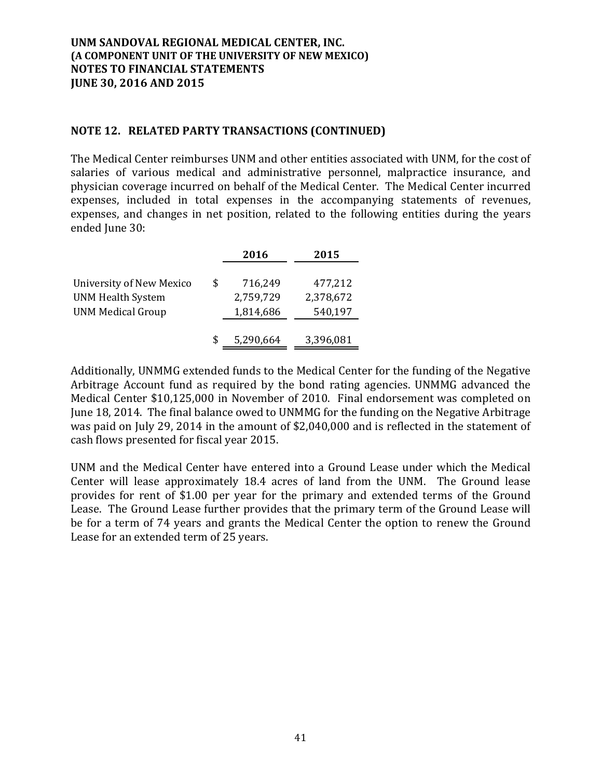## **NOTE 12. RELATED PARTY TRANSACTIONS (CONTINUED)**

The Medical Center reimburses UNM and other entities associated with UNM, for the cost of salaries of various medical and administrative personnel, malpractice insurance, and physician coverage incurred on behalf of the Medical Center. The Medical Center incurred expenses, included in total expenses in the accompanying statements of revenues, expenses, and changes in net position, related to the following entities during the years ended June 30:

|                          | 2016          | 2015      |
|--------------------------|---------------|-----------|
|                          |               |           |
| University of New Mexico | \$<br>716,249 | 477,212   |
| <b>UNM Health System</b> | 2,759,729     | 2,378,672 |
| <b>UNM Medical Group</b> | 1,814,686     | 540,197   |
|                          |               |           |
|                          | 5,290,664     | 3,396,081 |

Additionally, UNMMG extended funds to the Medical Center for the funding of the Negative Arbitrage Account fund as required by the bond rating agencies. UNMMG advanced the Medical Center \$10,125,000 in November of 2010. Final endorsement was completed on June 18, 2014. The final balance owed to UNMMG for the funding on the Negative Arbitrage was paid on July 29, 2014 in the amount of \$2,040,000 and is reflected in the statement of cash flows presented for fiscal year 2015.

UNM and the Medical Center have entered into a Ground Lease under which the Medical Center will lease approximately 18.4 acres of land from the UNM. The Ground lease provides for rent of \$1.00 per year for the primary and extended terms of the Ground Lease. The Ground Lease further provides that the primary term of the Ground Lease will be for a term of 74 years and grants the Medical Center the option to renew the Ground Lease for an extended term of 25 years.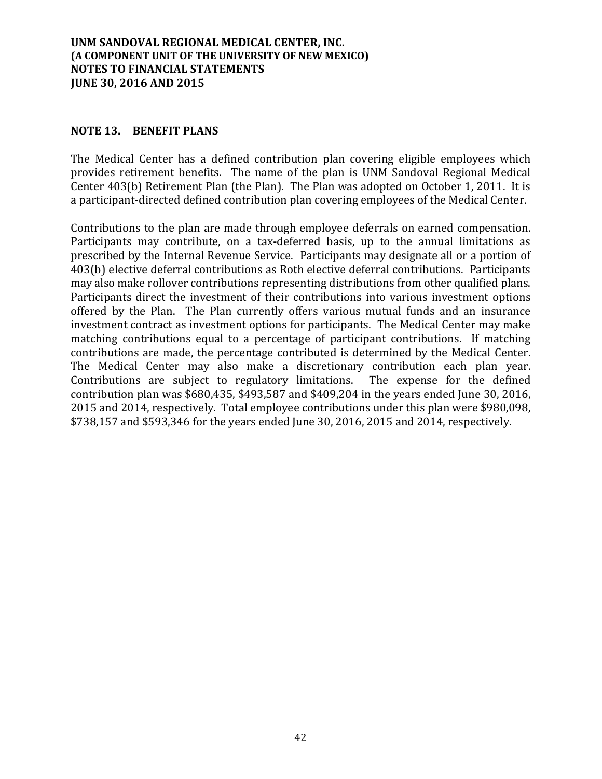### **NOTE 13. BENEFIT PLANS**

The Medical Center has a defined contribution plan covering eligible employees which provides retirement benefits. The name of the plan is UNM Sandoval Regional Medical Center 403(b) Retirement Plan (the Plan). The Plan was adopted on October 1, 2011. It is a participant-directed defined contribution plan covering employees of the Medical Center.

Contributions to the plan are made through employee deferrals on earned compensation. Participants may contribute, on a tax-deferred basis, up to the annual limitations as prescribed by the Internal Revenue Service. Participants may designate all or a portion of 403(b) elective deferral contributions as Roth elective deferral contributions. Participants may also make rollover contributions representing distributions from other qualified plans. Participants direct the investment of their contributions into various investment options offered by the Plan. The Plan currently offers various mutual funds and an insurance investment contract as investment options for participants. The Medical Center may make matching contributions equal to a percentage of participant contributions. If matching contributions are made, the percentage contributed is determined by the Medical Center. The Medical Center may also make a discretionary contribution each plan year. Contributions are subject to regulatory limitations. The expense for the defined contribution plan was  $$680,435, $493,587$  and  $$409,204$  in the years ended June 30, 2016, 2015 and 2014, respectively. Total employee contributions under this plan were \$980,098, \$738,157 and \$593,346 for the years ended June 30, 2016, 2015 and 2014, respectively.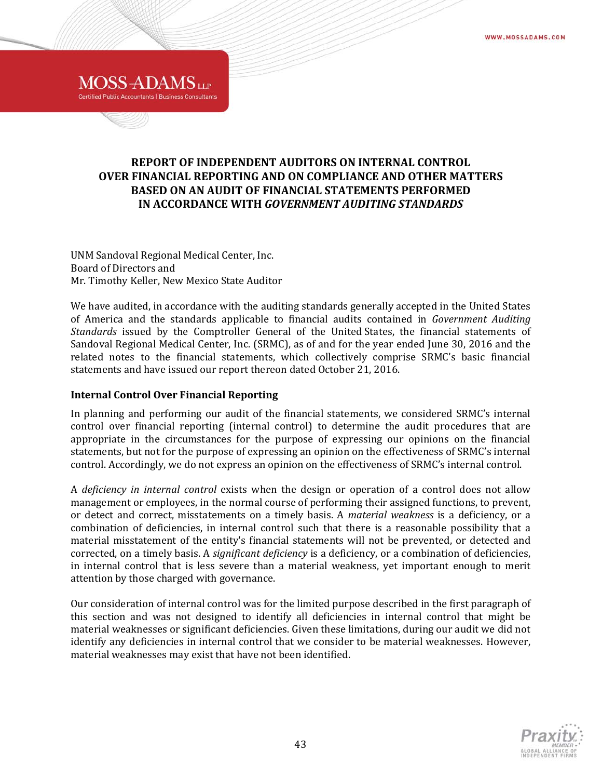

### **REPORT OF INDEPENDENT AUDITORS ON INTERNAL CONTROL OVER FINANCIAL REPORTING AND ON COMPLIANCE AND OTHER MATTERS BASED ON AN AUDIT OF FINANCIAL STATEMENTS PERFORMED IN ACCORDANCE WITH** *GOVERNMENT AUDITING STANDARDS*

UNM Sandoval Regional Medical Center, Inc. Board of Directors and Mr. Timothy Keller, New Mexico State Auditor

We have audited, in accordance with the auditing standards generally accepted in the United States of America and the standards applicable to financial audits contained in *Government Auditing Standards* issued by the Comptroller General of the United States, the financial statements of Sandoval Regional Medical Center, Inc. (SRMC), as of and for the year ended June 30, 2016 and the related notes to the financial statements, which collectively comprise SRMC's basic financial statements and have issued our report thereon dated October 21, 2016.

### **Internal Control Over Financial Reporting**

In planning and performing our audit of the financial statements, we considered SRMC's internal control over financial reporting (internal control) to determine the audit procedures that are appropriate in the circumstances for the purpose of expressing our opinions on the financial statements, but not for the purpose of expressing an opinion on the effectiveness of SRMC's internal control. Accordingly, we do not express an opinion on the effectiveness of SRMC's internal control.

A *deficiency in internal control* exists when the design or operation of a control does not allow management or employees, in the normal course of performing their assigned functions, to prevent, or detect and correct, misstatements on a timely basis. A *material weakness* is a deficiency, or a combination of deficiencies, in internal control such that there is a reasonable possibility that a material misstatement of the entity's financial statements will not be prevented, or detected and corrected, on a timely basis. A *significant deficiency* is a deficiency, or a combination of deficiencies, in internal control that is less severe than a material weakness, yet important enough to merit attention by those charged with governance.

Our consideration of internal control was for the limited purpose described in the first paragraph of this section and was not designed to identify all deficiencies in internal control that might be material weaknesses or significant deficiencies. Given these limitations, during our audit we did not identify any deficiencies in internal control that we consider to be material weaknesses. However, material weaknesses may exist that have not been identified.

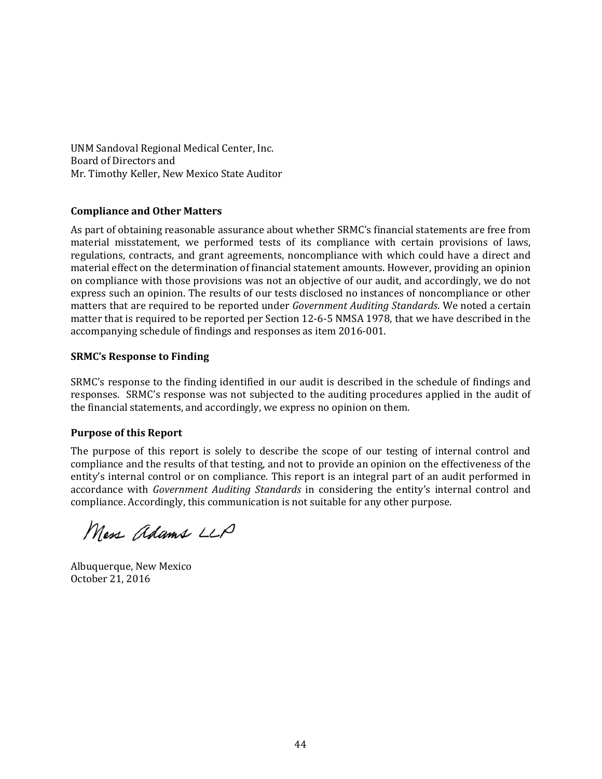UNM Sandoval Regional Medical Center, Inc. Board of Directors and Mr. Timothy Keller, New Mexico State Auditor

### **Compliance and Other Matters**

As part of obtaining reasonable assurance about whether SRMC's financial statements are free from material misstatement, we performed tests of its compliance with certain provisions of laws, regulations, contracts, and grant agreements, noncompliance with which could have a direct and material effect on the determination of financial statement amounts. However, providing an opinion on compliance with those provisions was not an objective of our audit, and accordingly, we do not express such an opinion. The results of our tests disclosed no instances of noncompliance or other matters that are required to be reported under *Government Auditing Standards*. We noted a certain matter that is required to be reported per Section 12-6-5 NMSA 1978, that we have described in the accompanying schedule of findings and responses as item 2016-001.

### **SRMC's Response to Finding**

SRMC's response to the finding identified in our audit is described in the schedule of findings and responses. SRMC's response was not subjected to the auditing procedures applied in the audit of the financial statements, and accordingly, we express no opinion on them.

#### **Purpose of this Report**

The purpose of this report is solely to describe the scope of our testing of internal control and compliance and the results of that testing, and not to provide an opinion on the effectiveness of the entity's internal control or on compliance. This report is an integral part of an audit performed in accordance with *Government Auditing Standards* in considering the entity's internal control and compliance. Accordingly, this communication is not suitable for any other purpose.

Mess adams LLP

Albuquerque, New Mexico October 21, 2016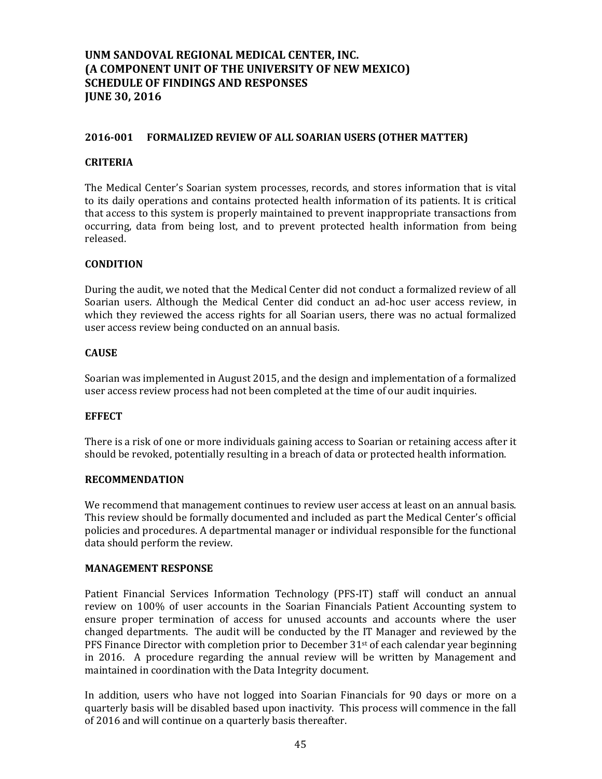## **UNM SANDOVAL REGIONAL MEDICAL CENTER, INC. (A COMPONENT UNIT OF THE UNIVERSITY OF NEW MEXICO) SCHEDULE OF FINDINGS AND RESPONSES JUNE 30, 2016**

### **2016‐001 FORMALIZED REVIEW OF ALL SOARIAN USERS (OTHER MATTER)**

### **CRITERIA**

The Medical Center's Soarian system processes, records, and stores information that is vital to its daily operations and contains protected health information of its patients. It is critical that access to this system is properly maintained to prevent inappropriate transactions from occurring, data from being lost, and to prevent protected health information from being released. 

#### **CONDITION**

During the audit, we noted that the Medical Center did not conduct a formalized review of all Soarian users. Although the Medical Center did conduct an ad-hoc user access review, in which they reviewed the access rights for all Soarian users, there was no actual formalized user access review being conducted on an annual basis.

#### **CAUSE**

Soarian was implemented in August 2015, and the design and implementation of a formalized user access review process had not been completed at the time of our audit inquiries.

#### **EFFECT**

There is a risk of one or more individuals gaining access to Soarian or retaining access after it should be revoked, potentially resulting in a breach of data or protected health information.

#### **RECOMMENDATION**

We recommend that management continues to review user access at least on an annual basis. This review should be formally documented and included as part the Medical Center's official policies and procedures. A departmental manager or individual responsible for the functional data should perform the review.

#### **MANAGEMENT RESPONSE**

Patient Financial Services Information Technology (PFS-IT) staff will conduct an annual review on 100% of user accounts in the Soarian Financials Patient Accounting system to ensure proper termination of access for unused accounts and accounts where the user changed departments. The audit will be conducted by the IT Manager and reviewed by the PFS Finance Director with completion prior to December  $31<sup>st</sup>$  of each calendar year beginning in 2016. A procedure regarding the annual review will be written by Management and maintained in coordination with the Data Integrity document.

In addition, users who have not logged into Soarian Financials for 90 days or more on a quarterly basis will be disabled based upon inactivity. This process will commence in the fall of 2016 and will continue on a quarterly basis thereafter.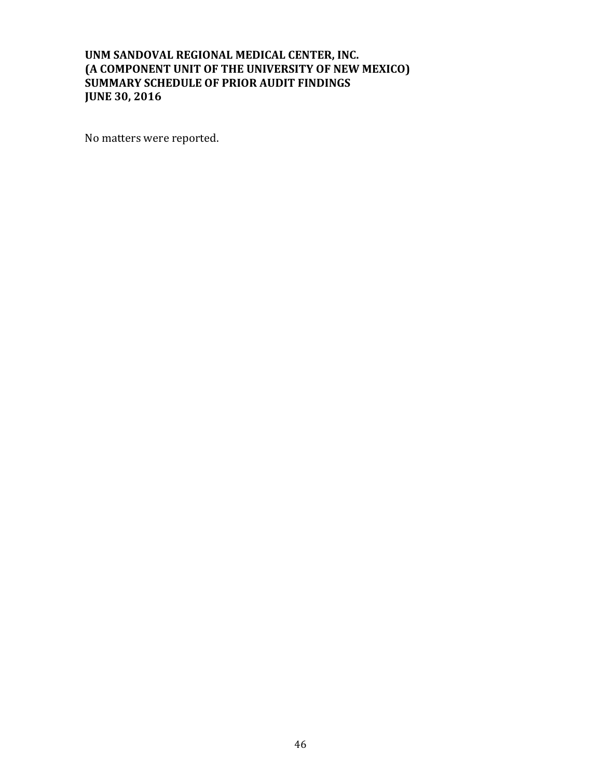## **UNM SANDOVAL REGIONAL MEDICAL CENTER, INC. (A COMPONENT UNIT OF THE UNIVERSITY OF NEW MEXICO) SUMMARY SCHEDULE OF PRIOR AUDIT FINDINGS JUNE 30, 2016**

No matters were reported.